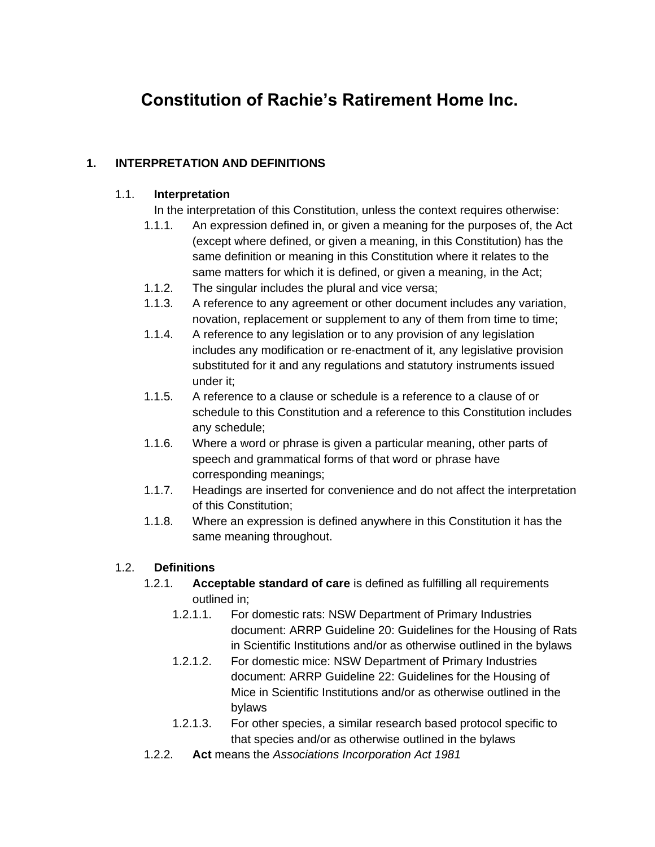# **Constitution of Rachie's Ratirement Home Inc.**

## **1. INTERPRETATION AND DEFINITIONS**

#### 1.1. **Interpretation**

- In the interpretation of this Constitution, unless the context requires otherwise:
- 1.1.1. An expression defined in, or given a meaning for the purposes of, the Act (except where defined, or given a meaning, in this Constitution) has the same definition or meaning in this Constitution where it relates to the same matters for which it is defined, or given a meaning, in the Act;
- 1.1.2. The singular includes the plural and vice versa;
- 1.1.3. A reference to any agreement or other document includes any variation, novation, replacement or supplement to any of them from time to time:
- 1.1.4. A reference to any legislation or to any provision of any legislation includes any modification or re-enactment of it, any legislative provision substituted for it and any regulations and statutory instruments issued under it;
- 1.1.5. A reference to a clause or schedule is a reference to a clause of or schedule to this Constitution and a reference to this Constitution includes any schedule;
- 1.1.6. Where a word or phrase is given a particular meaning, other parts of speech and grammatical forms of that word or phrase have corresponding meanings;
- 1.1.7. Headings are inserted for convenience and do not affect the interpretation of this Constitution;
- 1.1.8. Where an expression is defined anywhere in this Constitution it has the same meaning throughout.

#### 1.2. **Definitions**

- 1.2.1. **Acceptable standard of care** is defined as fulfilling all requirements outlined in;
	- 1.2.1.1. For domestic rats: NSW Department of Primary Industries document: ARRP Guideline 20: Guidelines for the Housing of Rats in Scientific Institutions and/or as otherwise outlined in the bylaws
	- 1.2.1.2. For domestic mice: NSW Department of Primary Industries document: ARRP Guideline 22: Guidelines for the Housing of Mice in Scientific Institutions and/or as otherwise outlined in the bylaws
	- 1.2.1.3. For other species, a similar research based protocol specific to that species and/or as otherwise outlined in the bylaws
- 1.2.2. **Act** means the *Associations Incorporation Act 1981*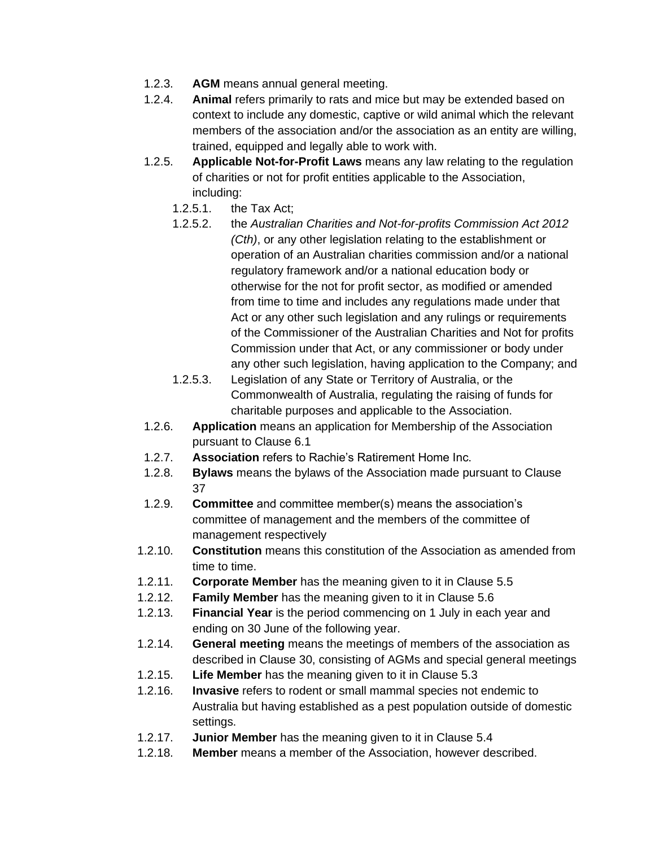- 1.2.3. **AGM** means annual general meeting.
- 1.2.4. **Animal** refers primarily to rats and mice but may be extended based on context to include any domestic, captive or wild animal which the relevant members of the association and/or the association as an entity are willing, trained, equipped and legally able to work with.
- 1.2.5. **Applicable Not-for-Profit Laws** means any law relating to the regulation of charities or not for profit entities applicable to the Association, including:
	- 1.2.5.1. the Tax Act;
	- 1.2.5.2. the *Australian Charities and Not-for-profits Commission Act 2012 (Cth)*, or any other legislation relating to the establishment or operation of an Australian charities commission and/or a national regulatory framework and/or a national education body or otherwise for the not for profit sector, as modified or amended from time to time and includes any regulations made under that Act or any other such legislation and any rulings or requirements of the Commissioner of the Australian Charities and Not for profits Commission under that Act, or any commissioner or body under any other such legislation, having application to the Company; and
	- 1.2.5.3. Legislation of any State or Territory of Australia, or the Commonwealth of Australia, regulating the raising of funds for charitable purposes and applicable to the Association.
- 1.2.6. **Application** means an application for Membership of the Association pursuant to Clause 6.1
- 1.2.7. **Association** refers to Rachie's Ratirement Home Inc.
- 1.2.8. **Bylaws** means the bylaws of the Association made pursuant to Clause 37
- 1.2.9. **Committee** and committee member(s) means the association's committee of management and the members of the committee of management respectively
- 1.2.10. **Constitution** means this constitution of the Association as amended from time to time.
- 1.2.11. **Corporate Member** has the meaning given to it in Clause 5.5
- 1.2.12. **Family Member** has the meaning given to it in Clause 5.6
- 1.2.13. **Financial Year** is the period commencing on 1 July in each year and ending on 30 June of the following year.
- 1.2.14. **General meeting** means the meetings of members of the association as described in Clause 30, consisting of AGMs and special general meetings
- 1.2.15. **Life Member** has the meaning given to it in Clause 5.3
- 1.2.16. **Invasive** refers to rodent or small mammal species not endemic to Australia but having established as a pest population outside of domestic settings.
- 1.2.17. **Junior Member** has the meaning given to it in Clause 5.4
- 1.2.18. **Member** means a member of the Association, however described.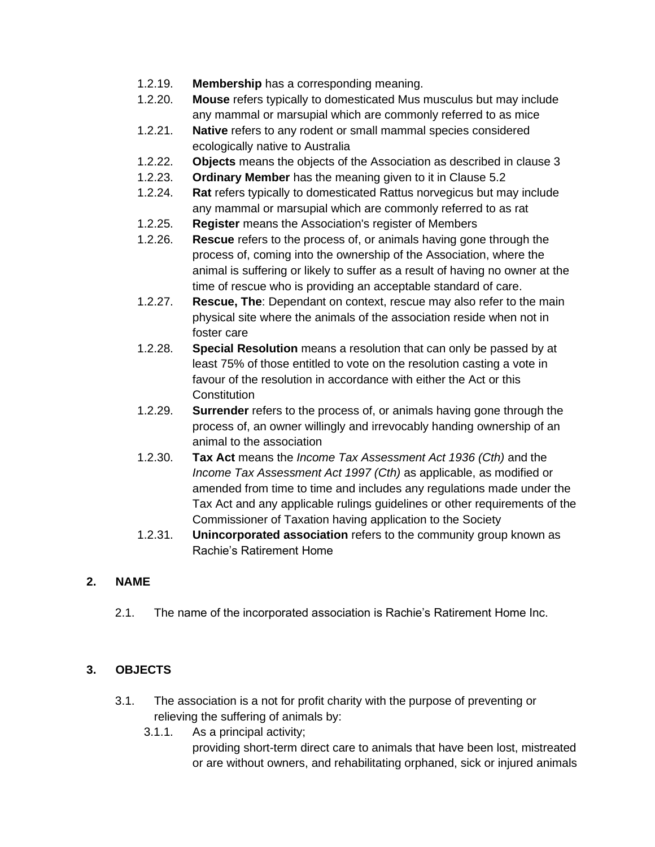- 1.2.19. **Membership** has a corresponding meaning.
- 1.2.20. **Mouse** refers typically to domesticated Mus musculus but may include any mammal or marsupial which are commonly referred to as mice
- 1.2.21. **Native** refers to any rodent or small mammal species considered ecologically native to Australia
- 1.2.22. **Objects** means the objects of the Association as described in clause 3
- 1.2.23. **Ordinary Member** has the meaning given to it in Clause 5.2
- 1.2.24. **Rat** refers typically to domesticated Rattus norvegicus but may include any mammal or marsupial which are commonly referred to as rat
- 1.2.25. **Register** means the Association's register of Members
- 1.2.26. **Rescue** refers to the process of, or animals having gone through the process of, coming into the ownership of the Association, where the animal is suffering or likely to suffer as a result of having no owner at the time of rescue who is providing an acceptable standard of care.
- 1.2.27. **Rescue, The**: Dependant on context, rescue may also refer to the main physical site where the animals of the association reside when not in foster care
- 1.2.28. **Special Resolution** means a resolution that can only be passed by at least 75% of those entitled to vote on the resolution casting a vote in favour of the resolution in accordance with either the Act or this **Constitution**
- 1.2.29. **Surrender** refers to the process of, or animals having gone through the process of, an owner willingly and irrevocably handing ownership of an animal to the association
- 1.2.30. **Tax Act** means the *Income Tax Assessment Act 1936 (Cth)* and the *Income Tax Assessment Act 1997 (Cth)* as applicable, as modified or amended from time to time and includes any regulations made under the Tax Act and any applicable rulings guidelines or other requirements of the Commissioner of Taxation having application to the Society
- 1.2.31. **Unincorporated association** refers to the community group known as Rachie's Ratirement Home

#### **2. NAME**

2.1. The name of the incorporated association is Rachie's Ratirement Home Inc.

#### **3. OBJECTS**

- 3.1. The association is a not for profit charity with the purpose of preventing or relieving the suffering of animals by:
	- 3.1.1. As a principal activity; providing short-term direct care to animals that have been lost, mistreated or are without owners, and rehabilitating orphaned, sick or injured animals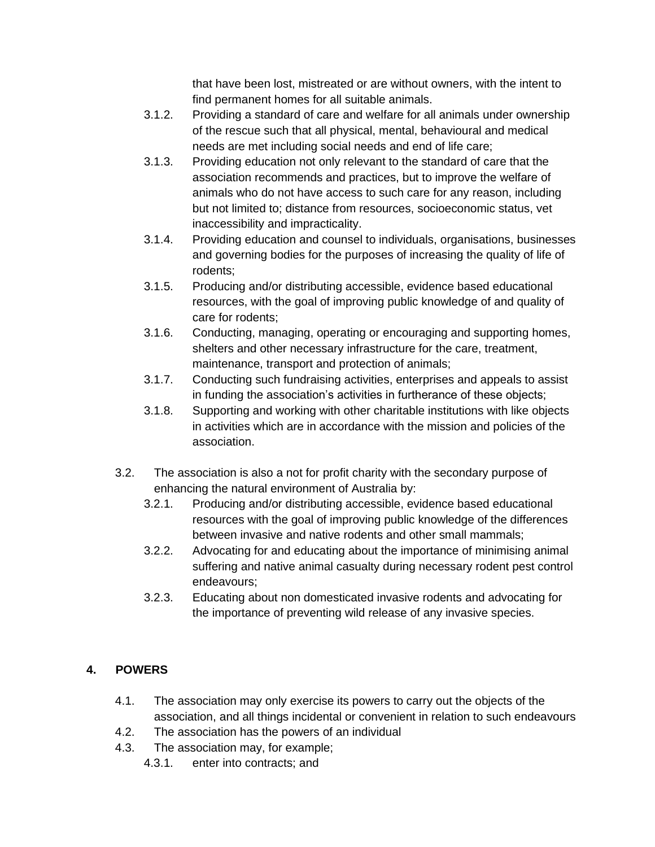that have been lost, mistreated or are without owners, with the intent to find permanent homes for all suitable animals.

- 3.1.2. Providing a standard of care and welfare for all animals under ownership of the rescue such that all physical, mental, behavioural and medical needs are met including social needs and end of life care;
- 3.1.3. Providing education not only relevant to the standard of care that the association recommends and practices, but to improve the welfare of animals who do not have access to such care for any reason, including but not limited to; distance from resources, socioeconomic status, vet inaccessibility and impracticality.
- 3.1.4. Providing education and counsel to individuals, organisations, businesses and governing bodies for the purposes of increasing the quality of life of rodents;
- 3.1.5. Producing and/or distributing accessible, evidence based educational resources, with the goal of improving public knowledge of and quality of care for rodents;
- 3.1.6. Conducting, managing, operating or encouraging and supporting homes, shelters and other necessary infrastructure for the care, treatment, maintenance, transport and protection of animals;
- 3.1.7. Conducting such fundraising activities, enterprises and appeals to assist in funding the association's activities in furtherance of these objects;
- 3.1.8. Supporting and working with other charitable institutions with like objects in activities which are in accordance with the mission and policies of the association.
- 3.2. The association is also a not for profit charity with the secondary purpose of enhancing the natural environment of Australia by:
	- 3.2.1. Producing and/or distributing accessible, evidence based educational resources with the goal of improving public knowledge of the differences between invasive and native rodents and other small mammals;
	- 3.2.2. Advocating for and educating about the importance of minimising animal suffering and native animal casualty during necessary rodent pest control endeavours;
	- 3.2.3. Educating about non domesticated invasive rodents and advocating for the importance of preventing wild release of any invasive species.

# **4. POWERS**

- 4.1. The association may only exercise its powers to carry out the objects of the association, and all things incidental or convenient in relation to such endeavours
- 4.2. The association has the powers of an individual
- 4.3. The association may, for example;
	- 4.3.1. enter into contracts; and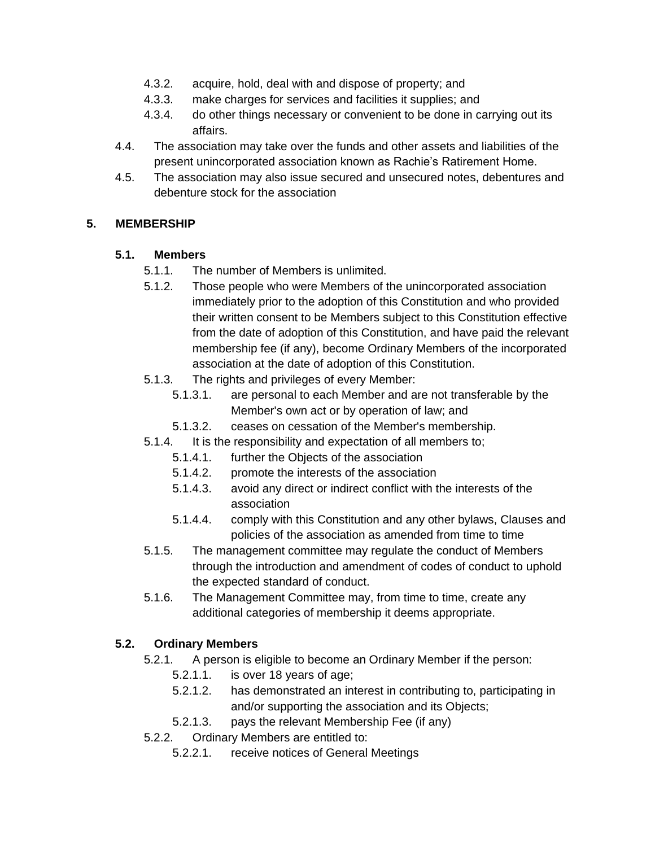- 4.3.2. acquire, hold, deal with and dispose of property; and
- 4.3.3. make charges for services and facilities it supplies; and
- 4.3.4. do other things necessary or convenient to be done in carrying out its affairs.
- 4.4. The association may take over the funds and other assets and liabilities of the present unincorporated association known as Rachie's Ratirement Home.
- 4.5. The association may also issue secured and unsecured notes, debentures and debenture stock for the association

#### **5. MEMBERSHIP**

#### **5.1. Members**

- 5.1.1. The number of Members is unlimited.
- 5.1.2. Those people who were Members of the unincorporated association immediately prior to the adoption of this Constitution and who provided their written consent to be Members subject to this Constitution effective from the date of adoption of this Constitution, and have paid the relevant membership fee (if any), become Ordinary Members of the incorporated association at the date of adoption of this Constitution.
- 5.1.3. The rights and privileges of every Member:
	- 5.1.3.1. are personal to each Member and are not transferable by the Member's own act or by operation of law; and
	- 5.1.3.2. ceases on cessation of the Member's membership.
- 5.1.4. It is the responsibility and expectation of all members to;
	- 5.1.4.1. further the Objects of the association
	- 5.1.4.2. promote the interests of the association
	- 5.1.4.3. avoid any direct or indirect conflict with the interests of the association
	- 5.1.4.4. comply with this Constitution and any other bylaws, Clauses and policies of the association as amended from time to time
- 5.1.5. The management committee may regulate the conduct of Members through the introduction and amendment of codes of conduct to uphold the expected standard of conduct.
- 5.1.6. The Management Committee may, from time to time, create any additional categories of membership it deems appropriate.

#### **5.2. Ordinary Members**

- 5.2.1. A person is eligible to become an Ordinary Member if the person:
	- 5.2.1.1. is over 18 years of age;
	- 5.2.1.2. has demonstrated an interest in contributing to, participating in and/or supporting the association and its Objects;
	- 5.2.1.3. pays the relevant Membership Fee (if any)
- 5.2.2. Ordinary Members are entitled to:
	- 5.2.2.1. receive notices of General Meetings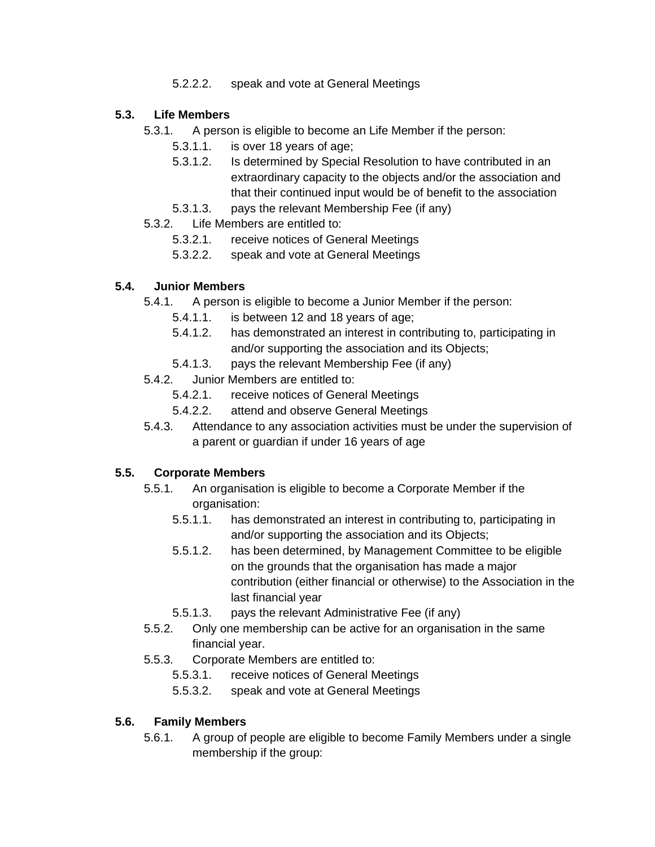5.2.2.2. speak and vote at General Meetings

## **5.3. Life Members**

- 5.3.1. A person is eligible to become an Life Member if the person:
	- 5.3.1.1. is over 18 years of age;
	- 5.3.1.2. Is determined by Special Resolution to have contributed in an extraordinary capacity to the objects and/or the association and that their continued input would be of benefit to the association
	- 5.3.1.3. pays the relevant Membership Fee (if any)
- 5.3.2. Life Members are entitled to:
	- 5.3.2.1. receive notices of General Meetings
	- 5.3.2.2. speak and vote at General Meetings

## **5.4. Junior Members**

- 5.4.1. A person is eligible to become a Junior Member if the person:
	- 5.4.1.1. is between 12 and 18 years of age;
	- 5.4.1.2. has demonstrated an interest in contributing to, participating in and/or supporting the association and its Objects;
	- 5.4.1.3. pays the relevant Membership Fee (if any)
- 5.4.2. Junior Members are entitled to:
	- 5.4.2.1. receive notices of General Meetings
	- 5.4.2.2. attend and observe General Meetings
- 5.4.3. Attendance to any association activities must be under the supervision of a parent or guardian if under 16 years of age

# **5.5. Corporate Members**

- 5.5.1. An organisation is eligible to become a Corporate Member if the organisation:
	- 5.5.1.1. has demonstrated an interest in contributing to, participating in and/or supporting the association and its Objects;
	- 5.5.1.2. has been determined, by Management Committee to be eligible on the grounds that the organisation has made a major contribution (either financial or otherwise) to the Association in the last financial year
	- 5.5.1.3. pays the relevant Administrative Fee (if any)
- 5.5.2. Only one membership can be active for an organisation in the same financial year.
- 5.5.3. Corporate Members are entitled to:
	- 5.5.3.1. receive notices of General Meetings
	- 5.5.3.2. speak and vote at General Meetings

#### **5.6. Family Members**

5.6.1. A group of people are eligible to become Family Members under a single membership if the group: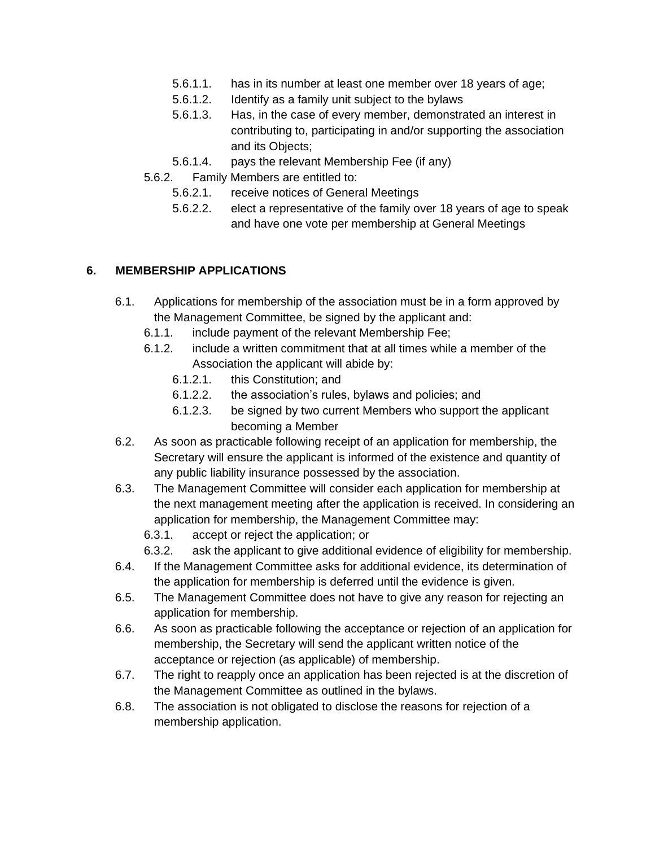- 5.6.1.1. has in its number at least one member over 18 years of age;
- 5.6.1.2. Identify as a family unit subject to the bylaws
- 5.6.1.3. Has, in the case of every member, demonstrated an interest in contributing to, participating in and/or supporting the association and its Objects;
- 5.6.1.4. pays the relevant Membership Fee (if any)
- 5.6.2. Family Members are entitled to:
	- 5.6.2.1. receive notices of General Meetings
	- 5.6.2.2. elect a representative of the family over 18 years of age to speak and have one vote per membership at General Meetings

#### **6. MEMBERSHIP APPLICATIONS**

- 6.1. Applications for membership of the association must be in a form approved by the Management Committee, be signed by the applicant and:
	- 6.1.1. include payment of the relevant Membership Fee;
	- 6.1.2. include a written commitment that at all times while a member of the Association the applicant will abide by:
		- 6.1.2.1. this Constitution; and
		- 6.1.2.2. the association's rules, bylaws and policies; and
		- 6.1.2.3. be signed by two current Members who support the applicant becoming a Member
- 6.2. As soon as practicable following receipt of an application for membership, the Secretary will ensure the applicant is informed of the existence and quantity of any public liability insurance possessed by the association.
- 6.3. The Management Committee will consider each application for membership at the next management meeting after the application is received. In considering an application for membership, the Management Committee may:
	- 6.3.1. accept or reject the application; or
	- 6.3.2. ask the applicant to give additional evidence of eligibility for membership.
- 6.4. If the Management Committee asks for additional evidence, its determination of the application for membership is deferred until the evidence is given.
- 6.5. The Management Committee does not have to give any reason for rejecting an application for membership.
- 6.6. As soon as practicable following the acceptance or rejection of an application for membership, the Secretary will send the applicant written notice of the acceptance or rejection (as applicable) of membership.
- 6.7. The right to reapply once an application has been rejected is at the discretion of the Management Committee as outlined in the bylaws.
- 6.8. The association is not obligated to disclose the reasons for rejection of a membership application.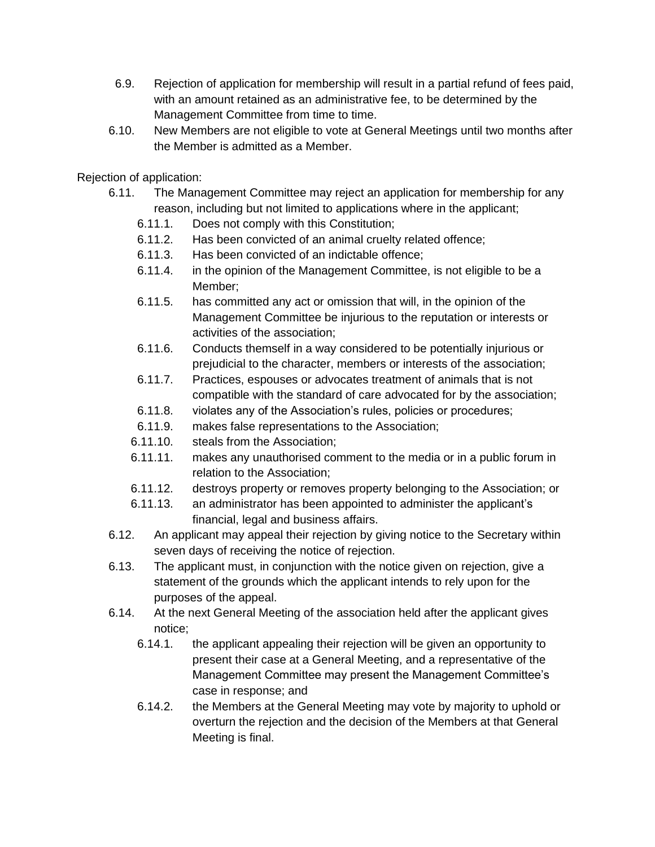- 6.9. Rejection of application for membership will result in a partial refund of fees paid, with an amount retained as an administrative fee, to be determined by the Management Committee from time to time.
- 6.10. New Members are not eligible to vote at General Meetings until two months after the Member is admitted as a Member.

Rejection of application:

- 6.11. The Management Committee may reject an application for membership for any reason, including but not limited to applications where in the applicant;
	- 6.11.1. Does not comply with this Constitution;
	- 6.11.2. Has been convicted of an animal cruelty related offence;
	- 6.11.3. Has been convicted of an indictable offence;
	- 6.11.4. in the opinion of the Management Committee, is not eligible to be a Member;
	- 6.11.5. has committed any act or omission that will, in the opinion of the Management Committee be injurious to the reputation or interests or activities of the association;
	- 6.11.6. Conducts themself in a way considered to be potentially injurious or prejudicial to the character, members or interests of the association;
	- 6.11.7. Practices, espouses or advocates treatment of animals that is not compatible with the standard of care advocated for by the association;
	- 6.11.8. violates any of the Association's rules, policies or procedures;
	- 6.11.9. makes false representations to the Association;
	- 6.11.10. steals from the Association;
	- 6.11.11. makes any unauthorised comment to the media or in a public forum in relation to the Association;
	- 6.11.12. destroys property or removes property belonging to the Association; or
	- 6.11.13. an administrator has been appointed to administer the applicant's financial, legal and business affairs.
- 6.12. An applicant may appeal their rejection by giving notice to the Secretary within seven days of receiving the notice of rejection.
- 6.13. The applicant must, in conjunction with the notice given on rejection, give a statement of the grounds which the applicant intends to rely upon for the purposes of the appeal.
- 6.14. At the next General Meeting of the association held after the applicant gives notice;
	- 6.14.1. the applicant appealing their rejection will be given an opportunity to present their case at a General Meeting, and a representative of the Management Committee may present the Management Committee's case in response; and
	- 6.14.2. the Members at the General Meeting may vote by majority to uphold or overturn the rejection and the decision of the Members at that General Meeting is final.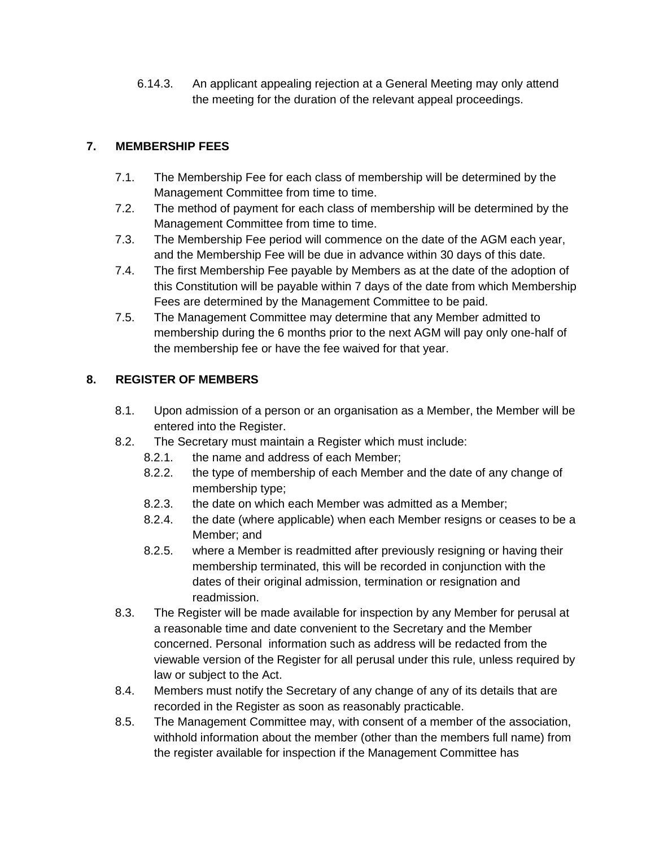6.14.3. An applicant appealing rejection at a General Meeting may only attend the meeting for the duration of the relevant appeal proceedings.

# **7. MEMBERSHIP FEES**

- 7.1. The Membership Fee for each class of membership will be determined by the Management Committee from time to time.
- 7.2. The method of payment for each class of membership will be determined by the Management Committee from time to time.
- 7.3. The Membership Fee period will commence on the date of the AGM each year, and the Membership Fee will be due in advance within 30 days of this date.
- 7.4. The first Membership Fee payable by Members as at the date of the adoption of this Constitution will be payable within 7 days of the date from which Membership Fees are determined by the Management Committee to be paid.
- 7.5. The Management Committee may determine that any Member admitted to membership during the 6 months prior to the next AGM will pay only one-half of the membership fee or have the fee waived for that year.

# **8. REGISTER OF MEMBERS**

- 8.1. Upon admission of a person or an organisation as a Member, the Member will be entered into the Register.
- 8.2. The Secretary must maintain a Register which must include:
	- 8.2.1. the name and address of each Member;
	- 8.2.2. the type of membership of each Member and the date of any change of membership type;
	- 8.2.3. the date on which each Member was admitted as a Member;
	- 8.2.4. the date (where applicable) when each Member resigns or ceases to be a Member; and
	- 8.2.5. where a Member is readmitted after previously resigning or having their membership terminated, this will be recorded in conjunction with the dates of their original admission, termination or resignation and readmission.
- 8.3. The Register will be made available for inspection by any Member for perusal at a reasonable time and date convenient to the Secretary and the Member concerned. Personal information such as address will be redacted from the viewable version of the Register for all perusal under this rule, unless required by law or subject to the Act.
- 8.4. Members must notify the Secretary of any change of any of its details that are recorded in the Register as soon as reasonably practicable.
- 8.5. The Management Committee may, with consent of a member of the association, withhold information about the member (other than the members full name) from the register available for inspection if the Management Committee has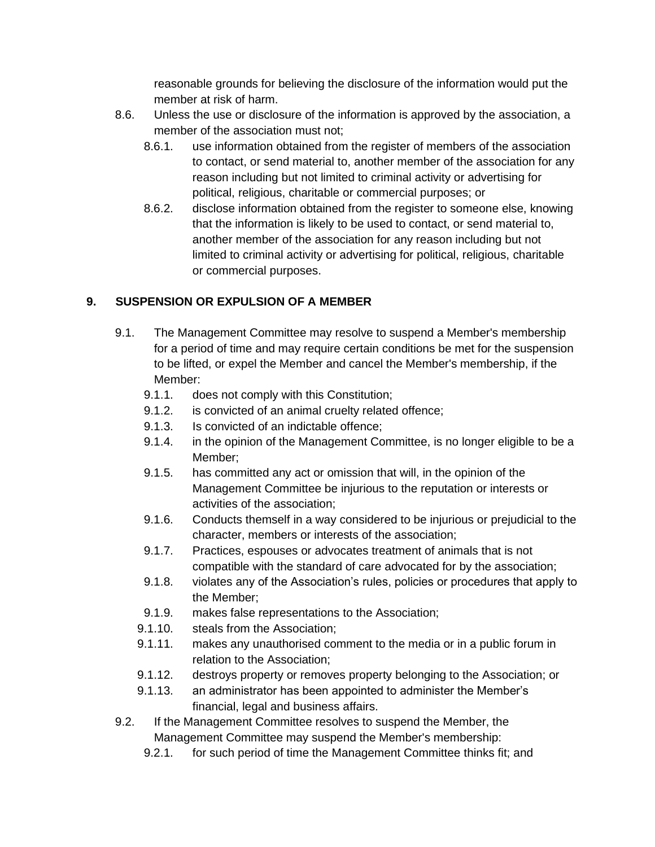reasonable grounds for believing the disclosure of the information would put the member at risk of harm.

- 8.6. Unless the use or disclosure of the information is approved by the association, a member of the association must not;
	- 8.6.1. use information obtained from the register of members of the association to contact, or send material to, another member of the association for any reason including but not limited to criminal activity or advertising for political, religious, charitable or commercial purposes; or
	- 8.6.2. disclose information obtained from the register to someone else, knowing that the information is likely to be used to contact, or send material to, another member of the association for any reason including but not limited to criminal activity or advertising for political, religious, charitable or commercial purposes.

## **9. SUSPENSION OR EXPULSION OF A MEMBER**

- 9.1. The Management Committee may resolve to suspend a Member's membership for a period of time and may require certain conditions be met for the suspension to be lifted, or expel the Member and cancel the Member's membership, if the Member:
	- 9.1.1. does not comply with this Constitution;
	- 9.1.2. is convicted of an animal cruelty related offence;
	- 9.1.3. Is convicted of an indictable offence;
	- 9.1.4. in the opinion of the Management Committee, is no longer eligible to be a Member;
	- 9.1.5. has committed any act or omission that will, in the opinion of the Management Committee be injurious to the reputation or interests or activities of the association;
	- 9.1.6. Conducts themself in a way considered to be injurious or prejudicial to the character, members or interests of the association;
	- 9.1.7. Practices, espouses or advocates treatment of animals that is not compatible with the standard of care advocated for by the association;
	- 9.1.8. violates any of the Association's rules, policies or procedures that apply to the Member;
	- 9.1.9. makes false representations to the Association;
	- 9.1.10. steals from the Association;
	- 9.1.11. makes any unauthorised comment to the media or in a public forum in relation to the Association;
	- 9.1.12. destroys property or removes property belonging to the Association; or
	- 9.1.13. an administrator has been appointed to administer the Member's financial, legal and business affairs.
- 9.2. If the Management Committee resolves to suspend the Member, the Management Committee may suspend the Member's membership:
	- 9.2.1. for such period of time the Management Committee thinks fit; and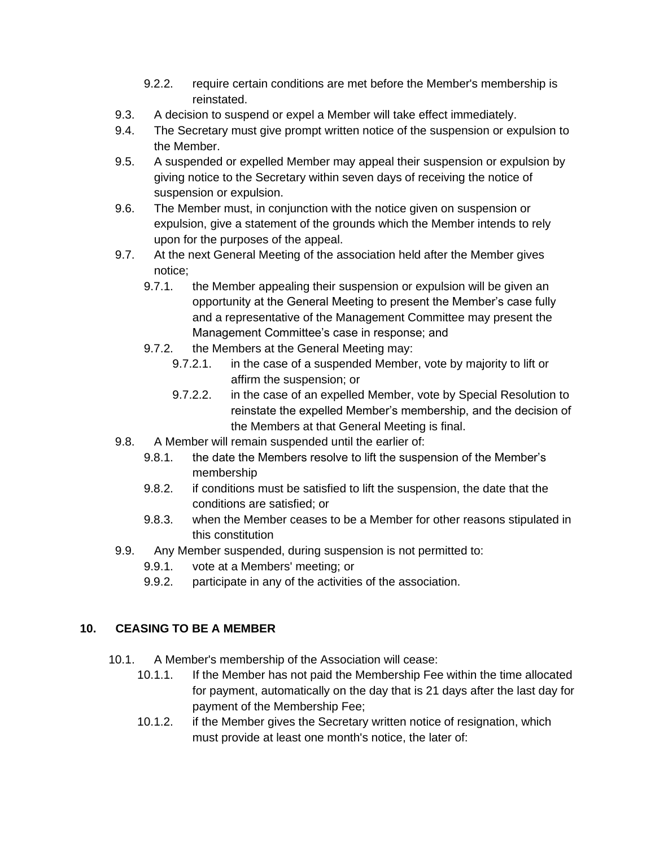- 9.2.2. require certain conditions are met before the Member's membership is reinstated.
- 9.3. A decision to suspend or expel a Member will take effect immediately.
- 9.4. The Secretary must give prompt written notice of the suspension or expulsion to the Member.
- 9.5. A suspended or expelled Member may appeal their suspension or expulsion by giving notice to the Secretary within seven days of receiving the notice of suspension or expulsion.
- 9.6. The Member must, in conjunction with the notice given on suspension or expulsion, give a statement of the grounds which the Member intends to rely upon for the purposes of the appeal.
- 9.7. At the next General Meeting of the association held after the Member gives notice;
	- 9.7.1. the Member appealing their suspension or expulsion will be given an opportunity at the General Meeting to present the Member's case fully and a representative of the Management Committee may present the Management Committee's case in response; and
	- 9.7.2. the Members at the General Meeting may:
		- 9.7.2.1. in the case of a suspended Member, vote by majority to lift or affirm the suspension; or
		- 9.7.2.2. in the case of an expelled Member, vote by Special Resolution to reinstate the expelled Member's membership, and the decision of the Members at that General Meeting is final.
- 9.8. A Member will remain suspended until the earlier of:
	- 9.8.1. the date the Members resolve to lift the suspension of the Member's membership
	- 9.8.2. if conditions must be satisfied to lift the suspension, the date that the conditions are satisfied; or
	- 9.8.3. when the Member ceases to be a Member for other reasons stipulated in this constitution
- 9.9. Any Member suspended, during suspension is not permitted to:
	- 9.9.1. vote at a Members' meeting; or
	- 9.9.2. participate in any of the activities of the association.

#### **10. CEASING TO BE A MEMBER**

- 10.1. A Member's membership of the Association will cease:
	- 10.1.1. If the Member has not paid the Membership Fee within the time allocated for payment, automatically on the day that is 21 days after the last day for payment of the Membership Fee;
	- 10.1.2. if the Member gives the Secretary written notice of resignation, which must provide at least one month's notice, the later of: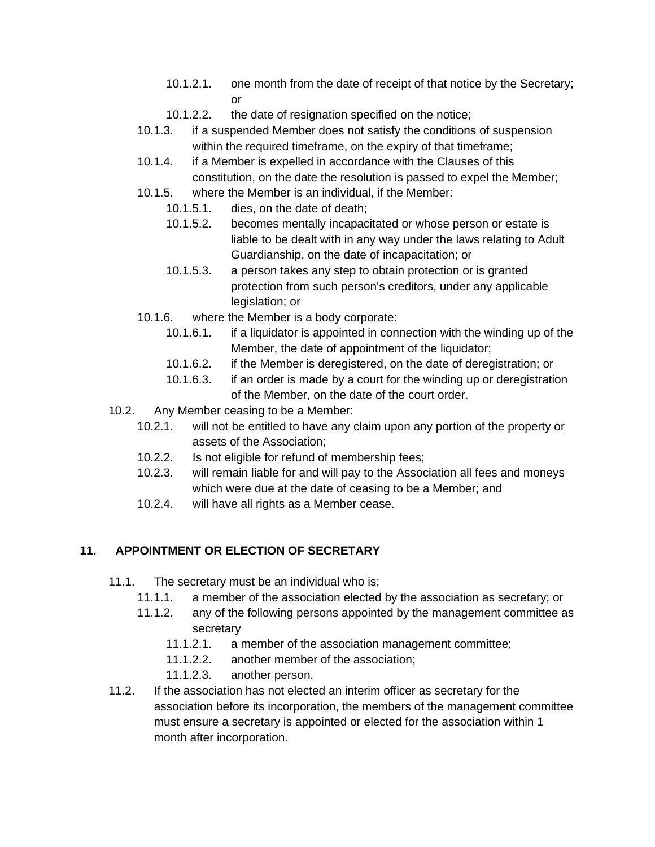- 10.1.2.1. one month from the date of receipt of that notice by the Secretary; or
- 10.1.2.2. the date of resignation specified on the notice;
- 10.1.3. if a suspended Member does not satisfy the conditions of suspension within the required timeframe, on the expiry of that timeframe;
- 10.1.4. if a Member is expelled in accordance with the Clauses of this constitution, on the date the resolution is passed to expel the Member;
- 10.1.5. where the Member is an individual, if the Member:
	- 10.1.5.1. dies, on the date of death;
	- 10.1.5.2. becomes mentally incapacitated or whose person or estate is liable to be dealt with in any way under the laws relating to Adult Guardianship, on the date of incapacitation; or
	- 10.1.5.3. a person takes any step to obtain protection or is granted protection from such person's creditors, under any applicable legislation; or
- 10.1.6. where the Member is a body corporate:
	- 10.1.6.1. if a liquidator is appointed in connection with the winding up of the Member, the date of appointment of the liquidator;
	- 10.1.6.2. if the Member is deregistered, on the date of deregistration; or
	- 10.1.6.3. if an order is made by a court for the winding up or deregistration of the Member, on the date of the court order.
- 10.2. Any Member ceasing to be a Member:
	- 10.2.1. will not be entitled to have any claim upon any portion of the property or assets of the Association;
	- 10.2.2. Is not eligible for refund of membership fees;
	- 10.2.3. will remain liable for and will pay to the Association all fees and moneys which were due at the date of ceasing to be a Member; and
	- 10.2.4. will have all rights as a Member cease.

#### **11. APPOINTMENT OR ELECTION OF SECRETARY**

- 11.1. The secretary must be an individual who is;
	- 11.1.1. a member of the association elected by the association as secretary; or
	- 11.1.2. any of the following persons appointed by the management committee as secretary
		- 11.1.2.1. a member of the association management committee;
		- 11.1.2.2. another member of the association;
		- 11.1.2.3. another person.
- 11.2. If the association has not elected an interim officer as secretary for the association before its incorporation, the members of the management committee must ensure a secretary is appointed or elected for the association within 1 month after incorporation.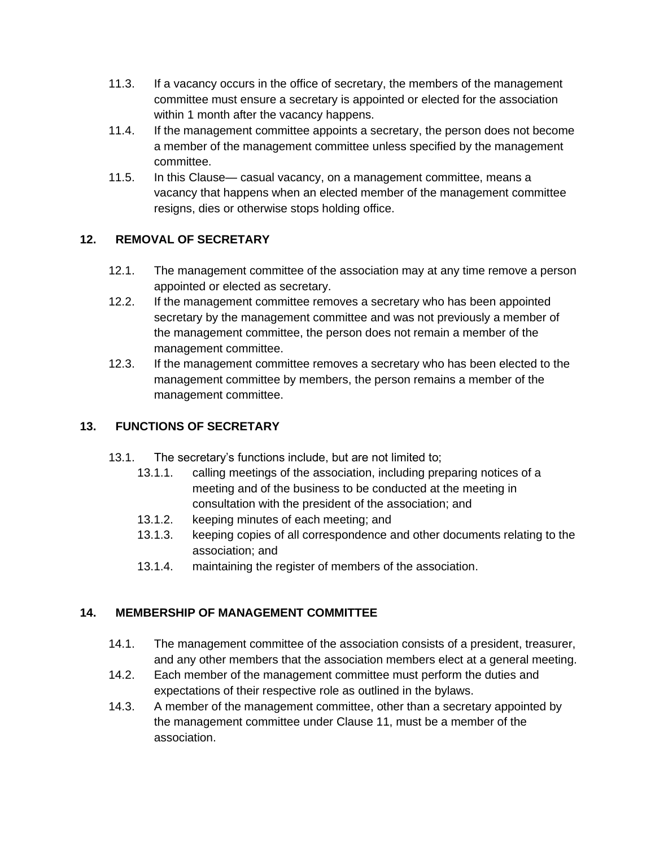- 11.3. If a vacancy occurs in the office of secretary, the members of the management committee must ensure a secretary is appointed or elected for the association within 1 month after the vacancy happens.
- 11.4. If the management committee appoints a secretary, the person does not become a member of the management committee unless specified by the management committee.
- 11.5. In this Clause— casual vacancy, on a management committee, means a vacancy that happens when an elected member of the management committee resigns, dies or otherwise stops holding office.

## **12. REMOVAL OF SECRETARY**

- 12.1. The management committee of the association may at any time remove a person appointed or elected as secretary.
- 12.2. If the management committee removes a secretary who has been appointed secretary by the management committee and was not previously a member of the management committee, the person does not remain a member of the management committee.
- 12.3. If the management committee removes a secretary who has been elected to the management committee by members, the person remains a member of the management committee.

## **13. FUNCTIONS OF SECRETARY**

- 13.1. The secretary's functions include, but are not limited to;
	- 13.1.1. calling meetings of the association, including preparing notices of a meeting and of the business to be conducted at the meeting in consultation with the president of the association; and
	- 13.1.2. keeping minutes of each meeting; and
	- 13.1.3. keeping copies of all correspondence and other documents relating to the association; and
	- 13.1.4. maintaining the register of members of the association.

#### **14. MEMBERSHIP OF MANAGEMENT COMMITTEE**

- 14.1. The management committee of the association consists of a president, treasurer, and any other members that the association members elect at a general meeting.
- 14.2. Each member of the management committee must perform the duties and expectations of their respective role as outlined in the bylaws.
- 14.3. A member of the management committee, other than a secretary appointed by the management committee under Clause 11, must be a member of the association.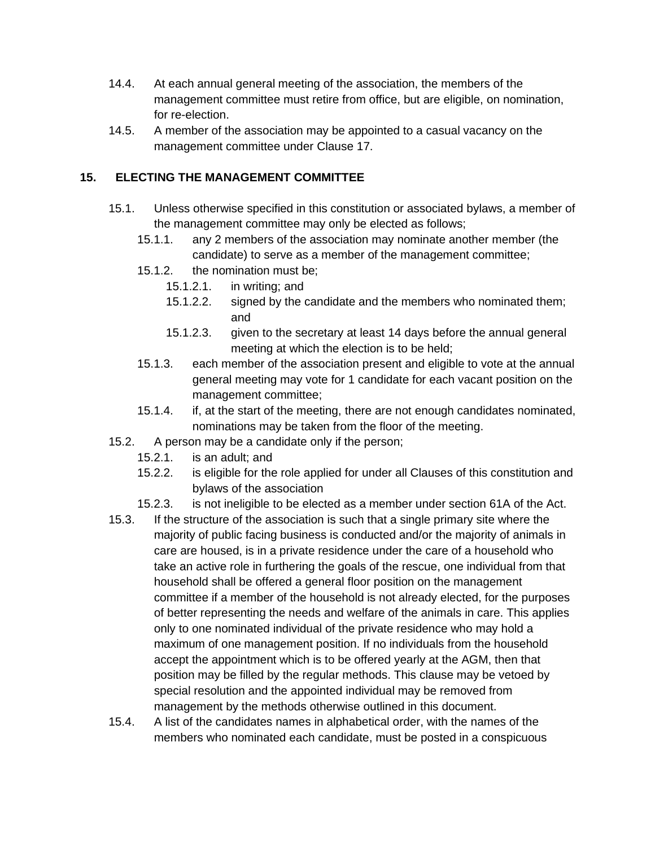- 14.4. At each annual general meeting of the association, the members of the management committee must retire from office, but are eligible, on nomination, for re-election.
- 14.5. A member of the association may be appointed to a casual vacancy on the management committee under Clause 17.

## **15. ELECTING THE MANAGEMENT COMMITTEE**

- 15.1. Unless otherwise specified in this constitution or associated bylaws, a member of the management committee may only be elected as follows;
	- 15.1.1. any 2 members of the association may nominate another member (the candidate) to serve as a member of the management committee;
	- 15.1.2. the nomination must be;
		- 15.1.2.1. in writing; and
		- 15.1.2.2. signed by the candidate and the members who nominated them; and
		- 15.1.2.3. given to the secretary at least 14 days before the annual general meeting at which the election is to be held;
	- 15.1.3. each member of the association present and eligible to vote at the annual general meeting may vote for 1 candidate for each vacant position on the management committee;
	- 15.1.4. if, at the start of the meeting, there are not enough candidates nominated, nominations may be taken from the floor of the meeting.
- 15.2. A person may be a candidate only if the person;
	- 15.2.1. is an adult; and
	- 15.2.2. is eligible for the role applied for under all Clauses of this constitution and bylaws of the association
	- 15.2.3. is not ineligible to be elected as a member under section 61A of the Act.
- 15.3. If the structure of the association is such that a single primary site where the majority of public facing business is conducted and/or the majority of animals in care are housed, is in a private residence under the care of a household who take an active role in furthering the goals of the rescue, one individual from that household shall be offered a general floor position on the management committee if a member of the household is not already elected, for the purposes of better representing the needs and welfare of the animals in care. This applies only to one nominated individual of the private residence who may hold a maximum of one management position. If no individuals from the household accept the appointment which is to be offered yearly at the AGM, then that position may be filled by the regular methods. This clause may be vetoed by special resolution and the appointed individual may be removed from management by the methods otherwise outlined in this document.
- 15.4. A list of the candidates names in alphabetical order, with the names of the members who nominated each candidate, must be posted in a conspicuous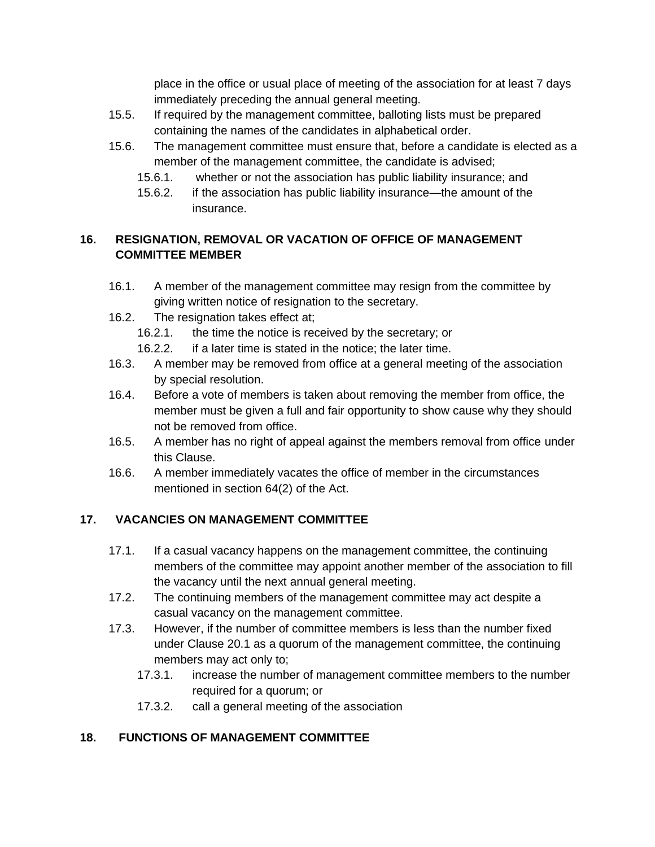place in the office or usual place of meeting of the association for at least 7 days immediately preceding the annual general meeting.

- 15.5. If required by the management committee, balloting lists must be prepared containing the names of the candidates in alphabetical order.
- 15.6. The management committee must ensure that, before a candidate is elected as a member of the management committee, the candidate is advised;
	- 15.6.1. whether or not the association has public liability insurance; and
	- 15.6.2. if the association has public liability insurance—the amount of the insurance.

## **16. RESIGNATION, REMOVAL OR VACATION OF OFFICE OF MANAGEMENT COMMITTEE MEMBER**

- 16.1. A member of the management committee may resign from the committee by giving written notice of resignation to the secretary.
- 16.2. The resignation takes effect at;
	- 16.2.1. the time the notice is received by the secretary; or
	- 16.2.2. if a later time is stated in the notice; the later time.
- 16.3. A member may be removed from office at a general meeting of the association by special resolution.
- 16.4. Before a vote of members is taken about removing the member from office, the member must be given a full and fair opportunity to show cause why they should not be removed from office.
- 16.5. A member has no right of appeal against the members removal from office under this Clause.
- 16.6. A member immediately vacates the office of member in the circumstances mentioned in section 64(2) of the Act.

# **17. VACANCIES ON MANAGEMENT COMMITTEE**

- 17.1. If a casual vacancy happens on the management committee, the continuing members of the committee may appoint another member of the association to fill the vacancy until the next annual general meeting.
- 17.2. The continuing members of the management committee may act despite a casual vacancy on the management committee.
- 17.3. However, if the number of committee members is less than the number fixed under Clause 20.1 as a quorum of the management committee, the continuing members may act only to;
	- 17.3.1. increase the number of management committee members to the number required for a quorum; or
	- 17.3.2. call a general meeting of the association

# **18. FUNCTIONS OF MANAGEMENT COMMITTEE**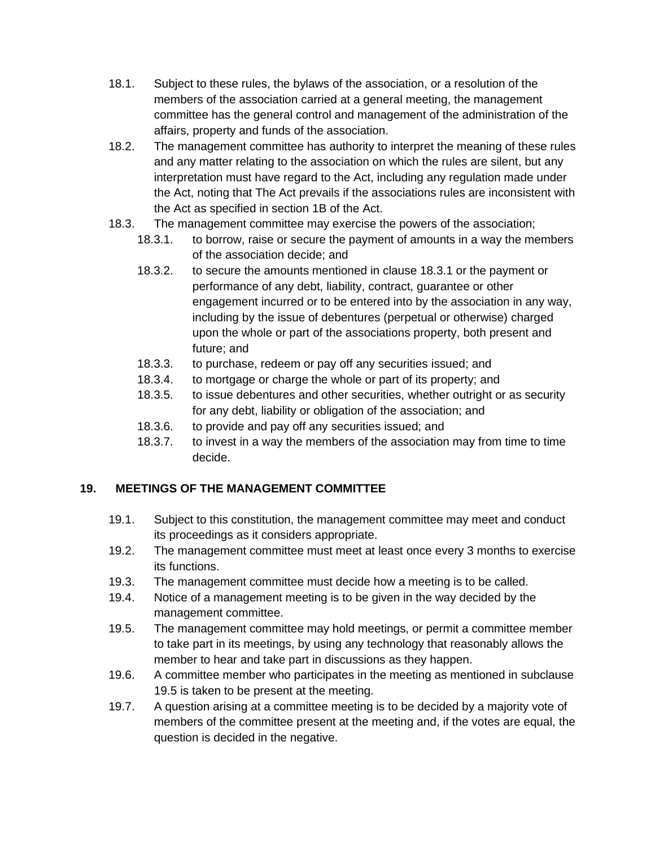- 18.1. Subject to these rules, the bylaws of the association, or a resolution of the members of the association carried at a general meeting, the management committee has the general control and management of the administration of the affairs, property and funds of the association.
- 18.2. The management committee has authority to interpret the meaning of these rules and any matter relating to the association on which the rules are silent, but any interpretation must have regard to the Act, including any regulation made under the Act, noting that The Act prevails if the associations rules are inconsistent with the Act as specified in section 1B of the Act.
- 18.3. The management committee may exercise the powers of the association;
	- 18.3.1. to borrow, raise or secure the payment of amounts in a way the members of the association decide; and
	- 18.3.2. to secure the amounts mentioned in clause 18.3.1 or the payment or performance of any debt, liability, contract, guarantee or other engagement incurred or to be entered into by the association in any way, including by the issue of debentures (perpetual or otherwise) charged upon the whole or part of the associations property, both present and future; and
	- 18.3.3. to purchase, redeem or pay off any securities issued; and
	- 18.3.4. to mortgage or charge the whole or part of its property; and
	- 18.3.5. to issue debentures and other securities, whether outright or as security for any debt, liability or obligation of the association; and
	- 18.3.6. to provide and pay off any securities issued; and
	- 18.3.7. to invest in a way the members of the association may from time to time decide.

# **19. MEETINGS OF THE MANAGEMENT COMMITTEE**

- 19.1. Subject to this constitution, the management committee may meet and conduct its proceedings as it considers appropriate.
- 19.2. The management committee must meet at least once every 3 months to exercise its functions.
- 19.3. The management committee must decide how a meeting is to be called.
- 19.4. Notice of a management meeting is to be given in the way decided by the management committee.
- 19.5. The management committee may hold meetings, or permit a committee member to take part in its meetings, by using any technology that reasonably allows the member to hear and take part in discussions as they happen.
- 19.6. A committee member who participates in the meeting as mentioned in subclause 19.5 is taken to be present at the meeting.
- 19.7. A question arising at a committee meeting is to be decided by a majority vote of members of the committee present at the meeting and, if the votes are equal, the question is decided in the negative.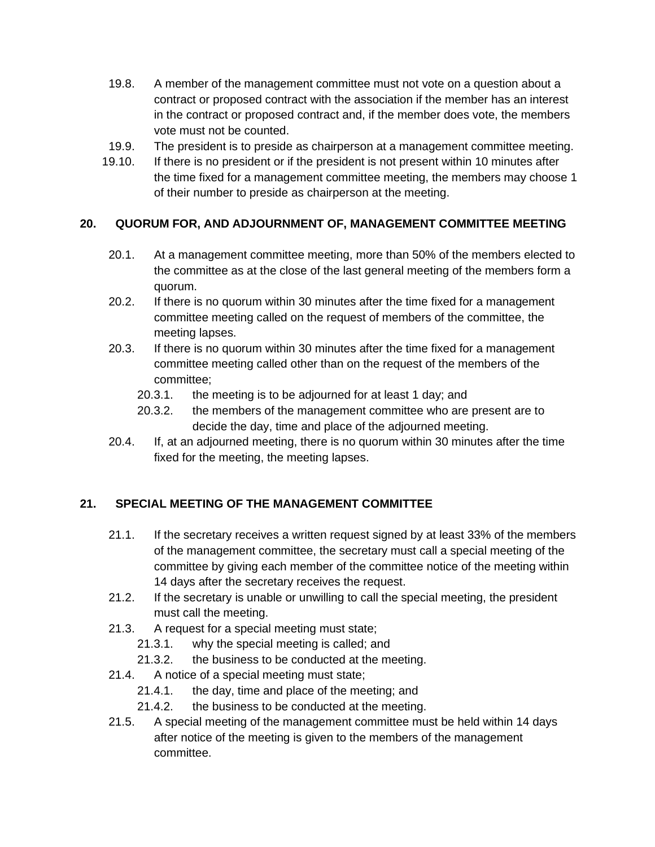- 19.8. A member of the management committee must not vote on a question about a contract or proposed contract with the association if the member has an interest in the contract or proposed contract and, if the member does vote, the members vote must not be counted.
- 19.9. The president is to preside as chairperson at a management committee meeting.
- 19.10. If there is no president or if the president is not present within 10 minutes after the time fixed for a management committee meeting, the members may choose 1 of their number to preside as chairperson at the meeting.

#### **20. QUORUM FOR, AND ADJOURNMENT OF, MANAGEMENT COMMITTEE MEETING**

- 20.1. At a management committee meeting, more than 50% of the members elected to the committee as at the close of the last general meeting of the members form a quorum.
- 20.2. If there is no quorum within 30 minutes after the time fixed for a management committee meeting called on the request of members of the committee, the meeting lapses.
- 20.3. If there is no quorum within 30 minutes after the time fixed for a management committee meeting called other than on the request of the members of the committee;
	- 20.3.1. the meeting is to be adjourned for at least 1 day; and
	- 20.3.2. the members of the management committee who are present are to decide the day, time and place of the adjourned meeting.
- 20.4. If, at an adjourned meeting, there is no quorum within 30 minutes after the time fixed for the meeting, the meeting lapses.

#### **21. SPECIAL MEETING OF THE MANAGEMENT COMMITTEE**

- 21.1. If the secretary receives a written request signed by at least 33% of the members of the management committee, the secretary must call a special meeting of the committee by giving each member of the committee notice of the meeting within 14 days after the secretary receives the request.
- 21.2. If the secretary is unable or unwilling to call the special meeting, the president must call the meeting.
- 21.3. A request for a special meeting must state;
	- 21.3.1. why the special meeting is called; and
	- 21.3.2. the business to be conducted at the meeting.
- 21.4. A notice of a special meeting must state;
	- 21.4.1. the day, time and place of the meeting; and
	- 21.4.2. the business to be conducted at the meeting.
- 21.5. A special meeting of the management committee must be held within 14 days after notice of the meeting is given to the members of the management committee.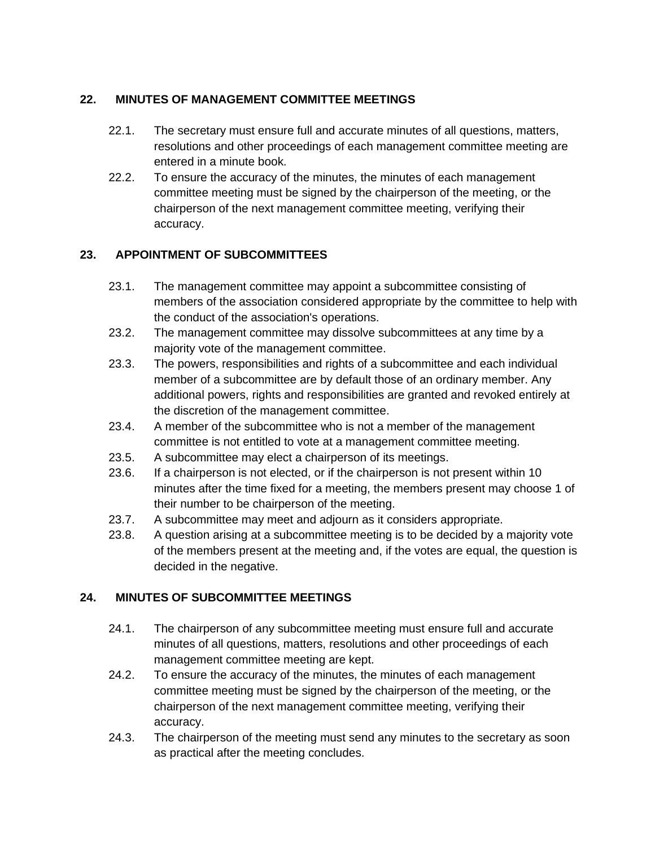## **22. MINUTES OF MANAGEMENT COMMITTEE MEETINGS**

- 22.1. The secretary must ensure full and accurate minutes of all questions, matters, resolutions and other proceedings of each management committee meeting are entered in a minute book.
- 22.2. To ensure the accuracy of the minutes, the minutes of each management committee meeting must be signed by the chairperson of the meeting, or the chairperson of the next management committee meeting, verifying their accuracy.

# **23. APPOINTMENT OF SUBCOMMITTEES**

- 23.1. The management committee may appoint a subcommittee consisting of members of the association considered appropriate by the committee to help with the conduct of the association's operations.
- 23.2. The management committee may dissolve subcommittees at any time by a majority vote of the management committee.
- 23.3. The powers, responsibilities and rights of a subcommittee and each individual member of a subcommittee are by default those of an ordinary member. Any additional powers, rights and responsibilities are granted and revoked entirely at the discretion of the management committee.
- 23.4. A member of the subcommittee who is not a member of the management committee is not entitled to vote at a management committee meeting.
- 23.5. A subcommittee may elect a chairperson of its meetings.
- 23.6. If a chairperson is not elected, or if the chairperson is not present within 10 minutes after the time fixed for a meeting, the members present may choose 1 of their number to be chairperson of the meeting.
- 23.7. A subcommittee may meet and adjourn as it considers appropriate.
- 23.8. A question arising at a subcommittee meeting is to be decided by a majority vote of the members present at the meeting and, if the votes are equal, the question is decided in the negative.

# **24. MINUTES OF SUBCOMMITTEE MEETINGS**

- 24.1. The chairperson of any subcommittee meeting must ensure full and accurate minutes of all questions, matters, resolutions and other proceedings of each management committee meeting are kept.
- 24.2. To ensure the accuracy of the minutes, the minutes of each management committee meeting must be signed by the chairperson of the meeting, or the chairperson of the next management committee meeting, verifying their accuracy.
- 24.3. The chairperson of the meeting must send any minutes to the secretary as soon as practical after the meeting concludes.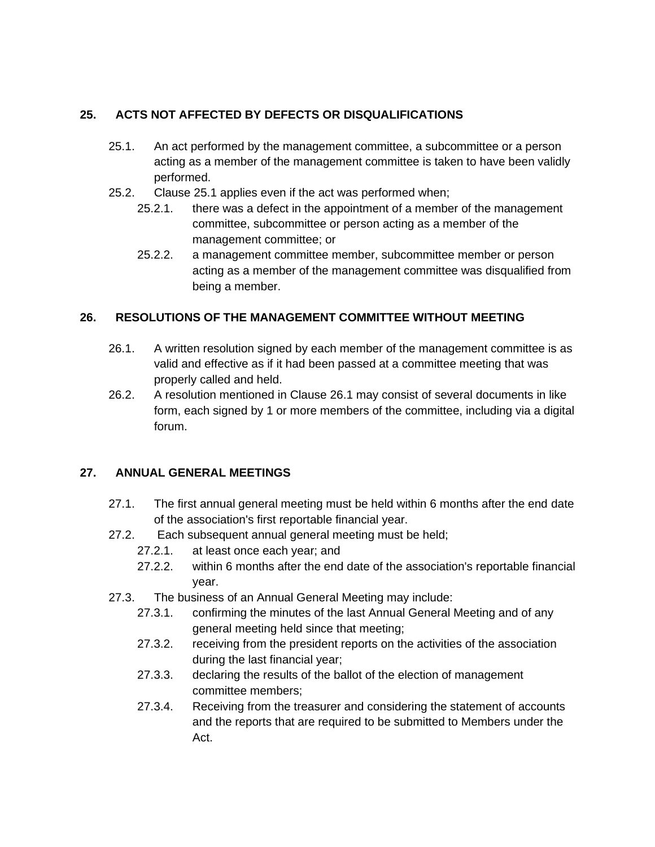## **25. ACTS NOT AFFECTED BY DEFECTS OR DISQUALIFICATIONS**

- 25.1. An act performed by the management committee, a subcommittee or a person acting as a member of the management committee is taken to have been validly performed.
- 25.2. Clause 25.1 applies even if the act was performed when;
	- 25.2.1. there was a defect in the appointment of a member of the management committee, subcommittee or person acting as a member of the management committee; or
	- 25.2.2. a management committee member, subcommittee member or person acting as a member of the management committee was disqualified from being a member.

## **26. RESOLUTIONS OF THE MANAGEMENT COMMITTEE WITHOUT MEETING**

- 26.1. A written resolution signed by each member of the management committee is as valid and effective as if it had been passed at a committee meeting that was properly called and held.
- 26.2. A resolution mentioned in Clause 26.1 may consist of several documents in like form, each signed by 1 or more members of the committee, including via a digital forum.

#### **27. ANNUAL GENERAL MEETINGS**

- 27.1. The first annual general meeting must be held within 6 months after the end date of the association's first reportable financial year.
- 27.2. Each subsequent annual general meeting must be held;
	- 27.2.1. at least once each year; and
	- 27.2.2. within 6 months after the end date of the association's reportable financial year.
- 27.3. The business of an Annual General Meeting may include:
	- 27.3.1. confirming the minutes of the last Annual General Meeting and of any general meeting held since that meeting;
	- 27.3.2. receiving from the president reports on the activities of the association during the last financial year;
	- 27.3.3. declaring the results of the ballot of the election of management committee members;
	- 27.3.4. Receiving from the treasurer and considering the statement of accounts and the reports that are required to be submitted to Members under the Act.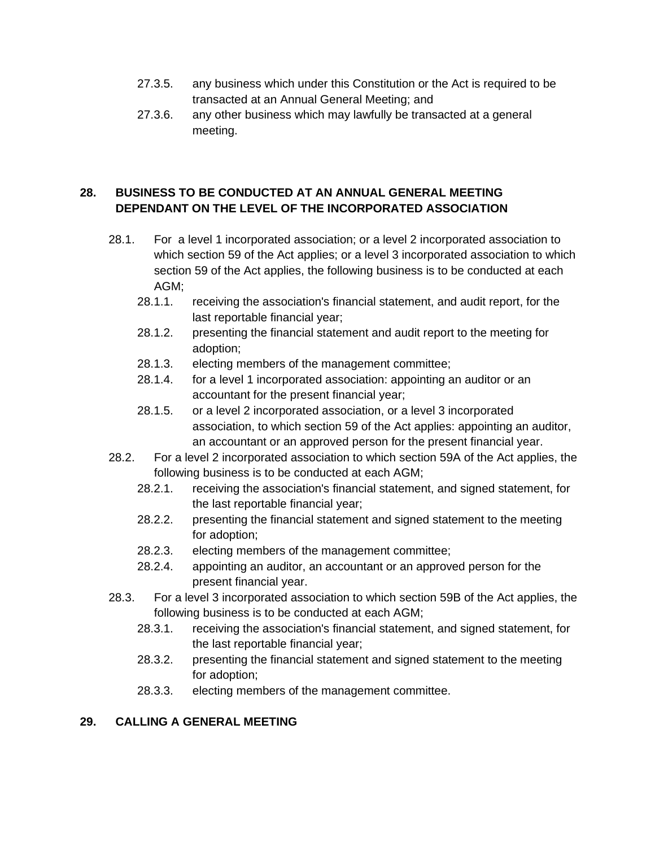- 27.3.5. any business which under this Constitution or the Act is required to be transacted at an Annual General Meeting; and
- 27.3.6. any other business which may lawfully be transacted at a general meeting.

#### **28. BUSINESS TO BE CONDUCTED AT AN ANNUAL GENERAL MEETING DEPENDANT ON THE LEVEL OF THE INCORPORATED ASSOCIATION**

- 28.1. For a level 1 incorporated association; or a level 2 incorporated association to which section 59 of the Act applies; or a level 3 incorporated association to which section 59 of the Act applies, the following business is to be conducted at each AGM;
	- 28.1.1. receiving the association's financial statement, and audit report, for the last reportable financial year;
	- 28.1.2. presenting the financial statement and audit report to the meeting for adoption;
	- 28.1.3. electing members of the management committee;
	- 28.1.4. for a level 1 incorporated association: appointing an auditor or an accountant for the present financial year;
	- 28.1.5. or a level 2 incorporated association, or a level 3 incorporated association, to which section 59 of the Act applies: appointing an auditor, an accountant or an approved person for the present financial year.
- 28.2. For a level 2 incorporated association to which section 59A of the Act applies, the following business is to be conducted at each AGM;
	- 28.2.1. receiving the association's financial statement, and signed statement, for the last reportable financial year;
	- 28.2.2. presenting the financial statement and signed statement to the meeting for adoption;
	- 28.2.3. electing members of the management committee;
	- 28.2.4. appointing an auditor, an accountant or an approved person for the present financial year.
- 28.3. For a level 3 incorporated association to which section 59B of the Act applies, the following business is to be conducted at each AGM;
	- 28.3.1. receiving the association's financial statement, and signed statement, for the last reportable financial year;
	- 28.3.2. presenting the financial statement and signed statement to the meeting for adoption;
	- 28.3.3. electing members of the management committee.

# **29. CALLING A GENERAL MEETING**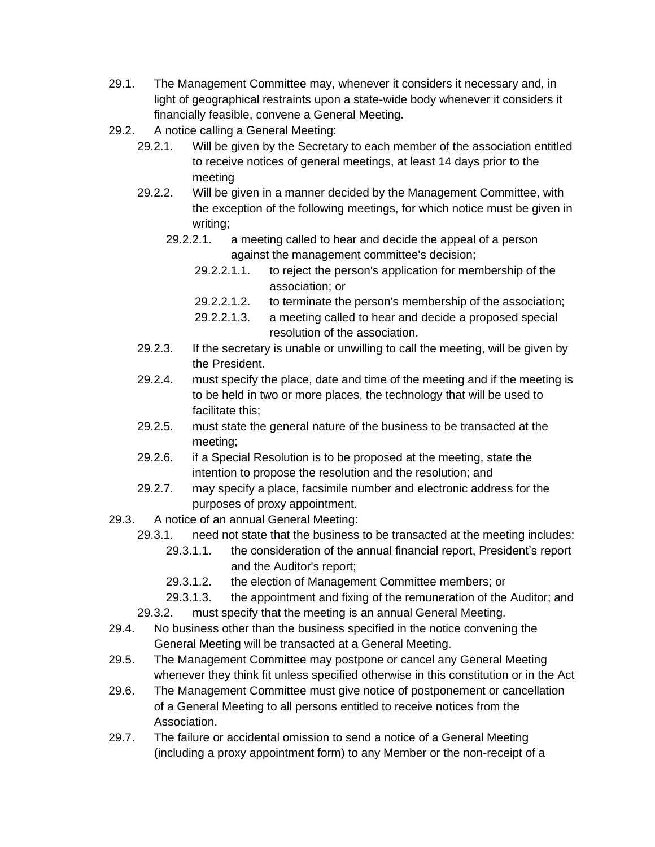- 29.1. The Management Committee may, whenever it considers it necessary and, in light of geographical restraints upon a state-wide body whenever it considers it financially feasible, convene a General Meeting.
- 29.2. A notice calling a General Meeting:
	- 29.2.1. Will be given by the Secretary to each member of the association entitled to receive notices of general meetings, at least 14 days prior to the meeting
	- 29.2.2. Will be given in a manner decided by the Management Committee, with the exception of the following meetings, for which notice must be given in writing;
		- 29.2.2.1. a meeting called to hear and decide the appeal of a person against the management committee's decision;
			- 29.2.2.1.1. to reject the person's application for membership of the association; or
			- 29.2.2.1.2. to terminate the person's membership of the association;
			- 29.2.2.1.3. a meeting called to hear and decide a proposed special resolution of the association.
	- 29.2.3. If the secretary is unable or unwilling to call the meeting, will be given by the President.
	- 29.2.4. must specify the place, date and time of the meeting and if the meeting is to be held in two or more places, the technology that will be used to facilitate this;
	- 29.2.5. must state the general nature of the business to be transacted at the meeting;
	- 29.2.6. if a Special Resolution is to be proposed at the meeting, state the intention to propose the resolution and the resolution; and
	- 29.2.7. may specify a place, facsimile number and electronic address for the purposes of proxy appointment.
- 29.3. A notice of an annual General Meeting:
	- 29.3.1. need not state that the business to be transacted at the meeting includes:
		- 29.3.1.1. the consideration of the annual financial report, President's report and the Auditor's report;
		- 29.3.1.2. the election of Management Committee members; or
		- 29.3.1.3. the appointment and fixing of the remuneration of the Auditor; and
	- 29.3.2. must specify that the meeting is an annual General Meeting.
- 29.4. No business other than the business specified in the notice convening the General Meeting will be transacted at a General Meeting.
- 29.5. The Management Committee may postpone or cancel any General Meeting whenever they think fit unless specified otherwise in this constitution or in the Act
- 29.6. The Management Committee must give notice of postponement or cancellation of a General Meeting to all persons entitled to receive notices from the Association.
- 29.7. The failure or accidental omission to send a notice of a General Meeting (including a proxy appointment form) to any Member or the non-receipt of a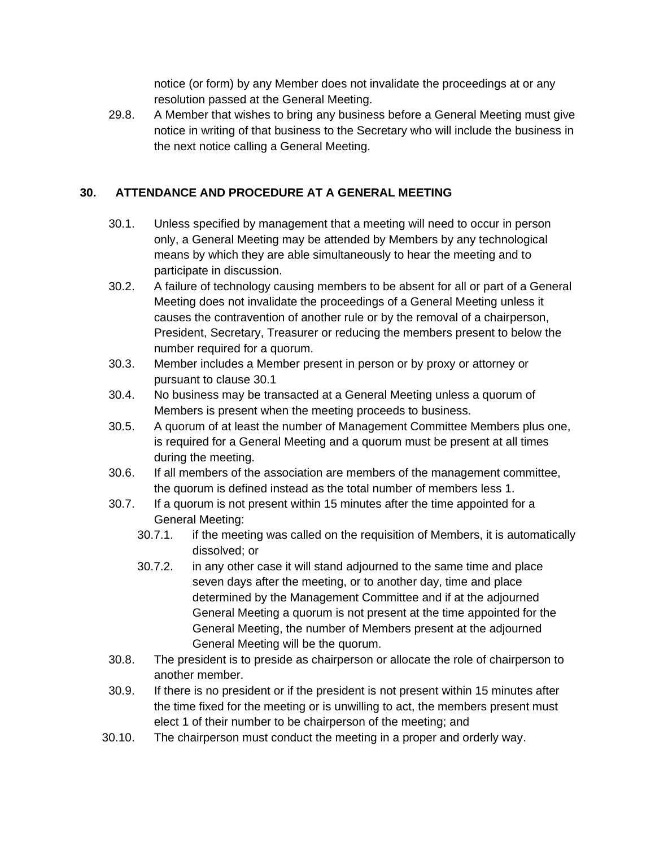notice (or form) by any Member does not invalidate the proceedings at or any resolution passed at the General Meeting.

29.8. A Member that wishes to bring any business before a General Meeting must give notice in writing of that business to the Secretary who will include the business in the next notice calling a General Meeting.

#### **30. ATTENDANCE AND PROCEDURE AT A GENERAL MEETING**

- 30.1. Unless specified by management that a meeting will need to occur in person only, a General Meeting may be attended by Members by any technological means by which they are able simultaneously to hear the meeting and to participate in discussion.
- 30.2. A failure of technology causing members to be absent for all or part of a General Meeting does not invalidate the proceedings of a General Meeting unless it causes the contravention of another rule or by the removal of a chairperson, President, Secretary, Treasurer or reducing the members present to below the number required for a quorum.
- 30.3. Member includes a Member present in person or by proxy or attorney or pursuant to clause 30.1
- 30.4. No business may be transacted at a General Meeting unless a quorum of Members is present when the meeting proceeds to business.
- 30.5. A quorum of at least the number of Management Committee Members plus one, is required for a General Meeting and a quorum must be present at all times during the meeting.
- 30.6. If all members of the association are members of the management committee, the quorum is defined instead as the total number of members less 1.
- 30.7. If a quorum is not present within 15 minutes after the time appointed for a General Meeting:
	- 30.7.1. if the meeting was called on the requisition of Members, it is automatically dissolved; or
	- 30.7.2. in any other case it will stand adjourned to the same time and place seven days after the meeting, or to another day, time and place determined by the Management Committee and if at the adjourned General Meeting a quorum is not present at the time appointed for the General Meeting, the number of Members present at the adjourned General Meeting will be the quorum.
- 30.8. The president is to preside as chairperson or allocate the role of chairperson to another member.
- 30.9. If there is no president or if the president is not present within 15 minutes after the time fixed for the meeting or is unwilling to act, the members present must elect 1 of their number to be chairperson of the meeting; and
- 30.10. The chairperson must conduct the meeting in a proper and orderly way.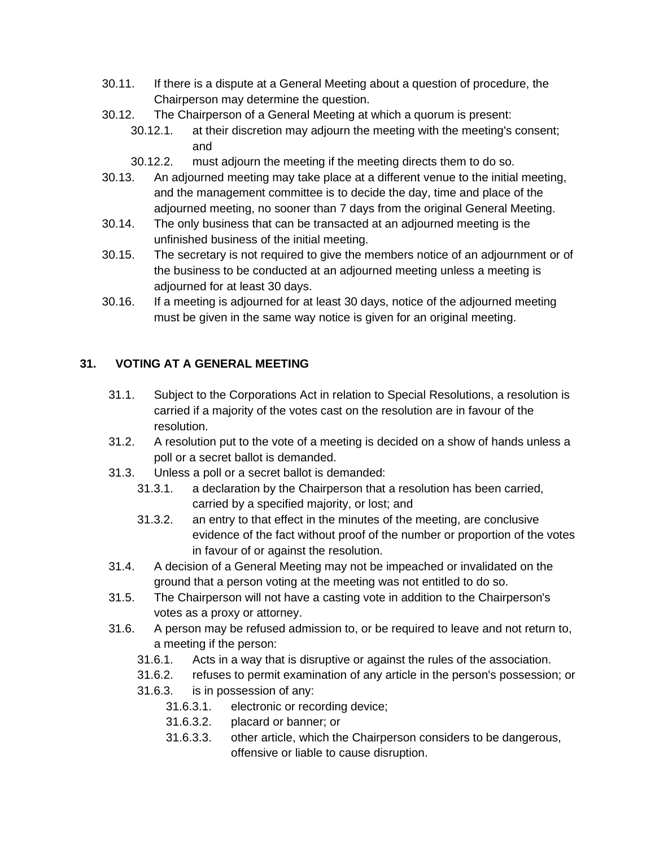- 30.11. If there is a dispute at a General Meeting about a question of procedure, the Chairperson may determine the question.
- 30.12. The Chairperson of a General Meeting at which a quorum is present:
	- 30.12.1. at their discretion may adjourn the meeting with the meeting's consent; and
	- 30.12.2. must adjourn the meeting if the meeting directs them to do so.
- 30.13. An adjourned meeting may take place at a different venue to the initial meeting, and the management committee is to decide the day, time and place of the adjourned meeting, no sooner than 7 days from the original General Meeting.
- 30.14. The only business that can be transacted at an adjourned meeting is the unfinished business of the initial meeting.
- 30.15. The secretary is not required to give the members notice of an adjournment or of the business to be conducted at an adjourned meeting unless a meeting is adjourned for at least 30 days.
- 30.16. If a meeting is adjourned for at least 30 days, notice of the adjourned meeting must be given in the same way notice is given for an original meeting.

# **31. VOTING AT A GENERAL MEETING**

- 31.1. Subject to the Corporations Act in relation to Special Resolutions, a resolution is carried if a majority of the votes cast on the resolution are in favour of the resolution.
- 31.2. A resolution put to the vote of a meeting is decided on a show of hands unless a poll or a secret ballot is demanded.
- 31.3. Unless a poll or a secret ballot is demanded:
	- 31.3.1. a declaration by the Chairperson that a resolution has been carried, carried by a specified majority, or lost; and
	- 31.3.2. an entry to that effect in the minutes of the meeting, are conclusive evidence of the fact without proof of the number or proportion of the votes in favour of or against the resolution.
- 31.4. A decision of a General Meeting may not be impeached or invalidated on the ground that a person voting at the meeting was not entitled to do so.
- 31.5. The Chairperson will not have a casting vote in addition to the Chairperson's votes as a proxy or attorney.
- 31.6. A person may be refused admission to, or be required to leave and not return to, a meeting if the person:
	- 31.6.1. Acts in a way that is disruptive or against the rules of the association.
	- 31.6.2. refuses to permit examination of any article in the person's possession; or
	- 31.6.3. is in possession of any:
		- 31.6.3.1. electronic or recording device;
		- 31.6.3.2. placard or banner; or
		- 31.6.3.3. other article, which the Chairperson considers to be dangerous, offensive or liable to cause disruption.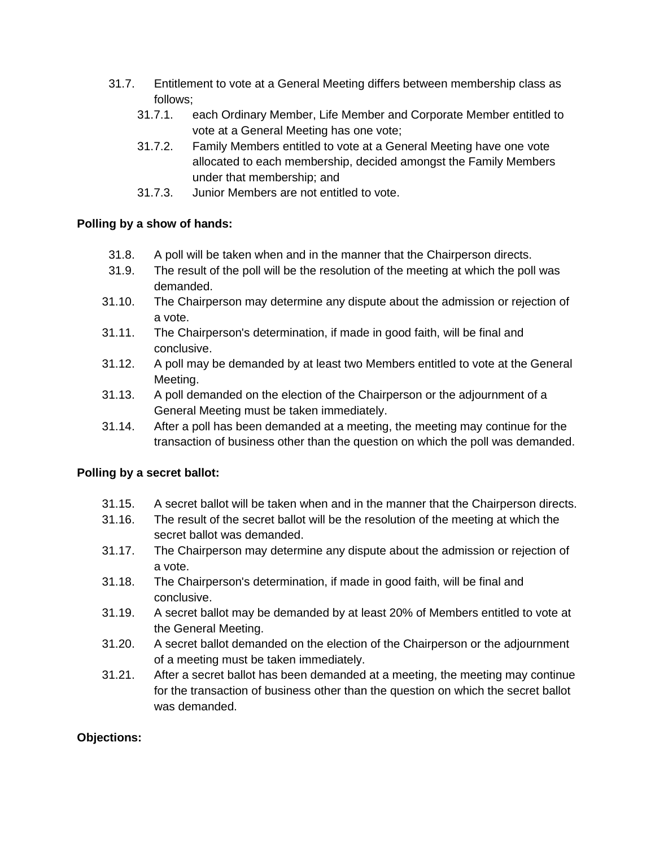- 31.7. Entitlement to vote at a General Meeting differs between membership class as follows;
	- 31.7.1. each Ordinary Member, Life Member and Corporate Member entitled to vote at a General Meeting has one vote;
	- 31.7.2. Family Members entitled to vote at a General Meeting have one vote allocated to each membership, decided amongst the Family Members under that membership; and
	- 31.7.3. Junior Members are not entitled to vote.

#### **Polling by a show of hands:**

- 31.8. A poll will be taken when and in the manner that the Chairperson directs.
- 31.9. The result of the poll will be the resolution of the meeting at which the poll was demanded.
- 31.10. The Chairperson may determine any dispute about the admission or rejection of a vote.
- 31.11. The Chairperson's determination, if made in good faith, will be final and conclusive.
- 31.12. A poll may be demanded by at least two Members entitled to vote at the General Meeting.
- 31.13. A poll demanded on the election of the Chairperson or the adjournment of a General Meeting must be taken immediately.
- 31.14. After a poll has been demanded at a meeting, the meeting may continue for the transaction of business other than the question on which the poll was demanded.

#### **Polling by a secret ballot:**

- 31.15. A secret ballot will be taken when and in the manner that the Chairperson directs.
- 31.16. The result of the secret ballot will be the resolution of the meeting at which the secret ballot was demanded.
- 31.17. The Chairperson may determine any dispute about the admission or rejection of a vote.
- 31.18. The Chairperson's determination, if made in good faith, will be final and conclusive.
- 31.19. A secret ballot may be demanded by at least 20% of Members entitled to vote at the General Meeting.
- 31.20. A secret ballot demanded on the election of the Chairperson or the adjournment of a meeting must be taken immediately.
- 31.21. After a secret ballot has been demanded at a meeting, the meeting may continue for the transaction of business other than the question on which the secret ballot was demanded.

#### **Objections:**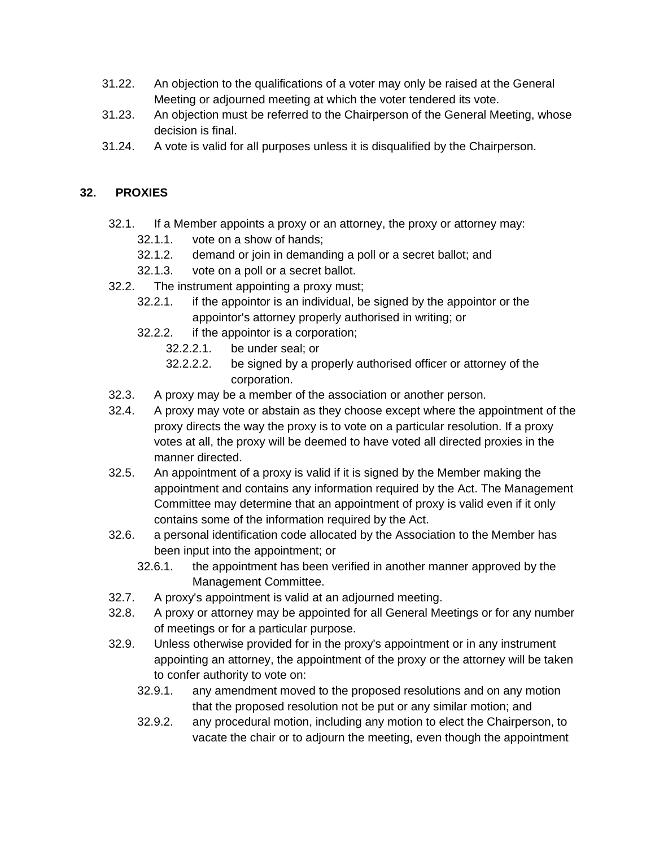- 31.22. An objection to the qualifications of a voter may only be raised at the General Meeting or adjourned meeting at which the voter tendered its vote.
- 31.23. An objection must be referred to the Chairperson of the General Meeting, whose decision is final.
- 31.24. A vote is valid for all purposes unless it is disqualified by the Chairperson.

#### **32. PROXIES**

- 32.1. If a Member appoints a proxy or an attorney, the proxy or attorney may:
	- 32.1.1. vote on a show of hands;
	- 32.1.2. demand or join in demanding a poll or a secret ballot; and
	- 32.1.3. vote on a poll or a secret ballot.
- 32.2. The instrument appointing a proxy must;
	- 32.2.1. if the appointor is an individual, be signed by the appointor or the appointor's attorney properly authorised in writing; or
	- 32.2.2. if the appointor is a corporation;
		- 32.2.2.1. be under seal; or
		- 32.2.2.2. be signed by a properly authorised officer or attorney of the corporation.
- 32.3. A proxy may be a member of the association or another person.
- 32.4. A proxy may vote or abstain as they choose except where the appointment of the proxy directs the way the proxy is to vote on a particular resolution. If a proxy votes at all, the proxy will be deemed to have voted all directed proxies in the manner directed.
- 32.5. An appointment of a proxy is valid if it is signed by the Member making the appointment and contains any information required by the Act. The Management Committee may determine that an appointment of proxy is valid even if it only contains some of the information required by the Act.
- 32.6. a personal identification code allocated by the Association to the Member has been input into the appointment; or
	- 32.6.1. the appointment has been verified in another manner approved by the Management Committee.
- 32.7. A proxy's appointment is valid at an adjourned meeting.
- 32.8. A proxy or attorney may be appointed for all General Meetings or for any number of meetings or for a particular purpose.
- 32.9. Unless otherwise provided for in the proxy's appointment or in any instrument appointing an attorney, the appointment of the proxy or the attorney will be taken to confer authority to vote on:
	- 32.9.1. any amendment moved to the proposed resolutions and on any motion that the proposed resolution not be put or any similar motion; and
	- 32.9.2. any procedural motion, including any motion to elect the Chairperson, to vacate the chair or to adjourn the meeting, even though the appointment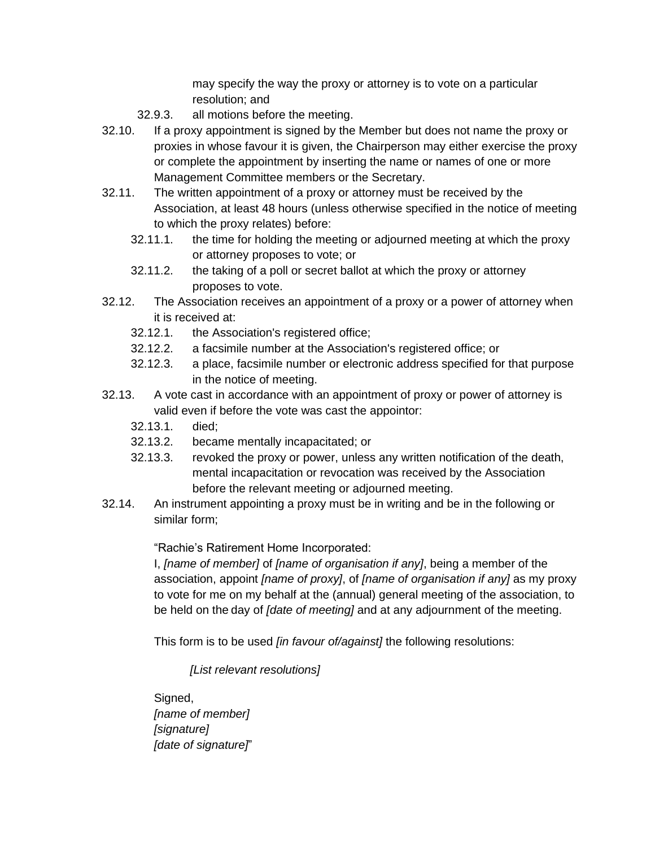may specify the way the proxy or attorney is to vote on a particular resolution; and

- 32.9.3. all motions before the meeting.
- 32.10. If a proxy appointment is signed by the Member but does not name the proxy or proxies in whose favour it is given, the Chairperson may either exercise the proxy or complete the appointment by inserting the name or names of one or more Management Committee members or the Secretary.
- 32.11. The written appointment of a proxy or attorney must be received by the Association, at least 48 hours (unless otherwise specified in the notice of meeting to which the proxy relates) before:
	- 32.11.1. the time for holding the meeting or adjourned meeting at which the proxy or attorney proposes to vote; or
	- 32.11.2. the taking of a poll or secret ballot at which the proxy or attorney proposes to vote.
- 32.12. The Association receives an appointment of a proxy or a power of attorney when it is received at:
	- 32.12.1. the Association's registered office;
	- 32.12.2. a facsimile number at the Association's registered office; or
	- 32.12.3. a place, facsimile number or electronic address specified for that purpose in the notice of meeting.
- 32.13. A vote cast in accordance with an appointment of proxy or power of attorney is valid even if before the vote was cast the appointor:
	- 32.13.1. died;
	- 32.13.2. became mentally incapacitated; or
	- 32.13.3. revoked the proxy or power, unless any written notification of the death, mental incapacitation or revocation was received by the Association before the relevant meeting or adjourned meeting.
- 32.14. An instrument appointing a proxy must be in writing and be in the following or similar form;

"Rachie's Ratirement Home Incorporated:

I, *[name of member]* of *[name of organisation if any]*, being a member of the association, appoint *[name of proxy]*, of *[name of organisation if any]* as my proxy to vote for me on my behalf at the (annual) general meeting of the association, to be held on the day of *[date of meeting]* and at any adjournment of the meeting.

This form is to be used *[in favour of/against]* the following resolutions:

*[List relevant resolutions]*

Signed, *[name of member] [signature] [date of signature]*"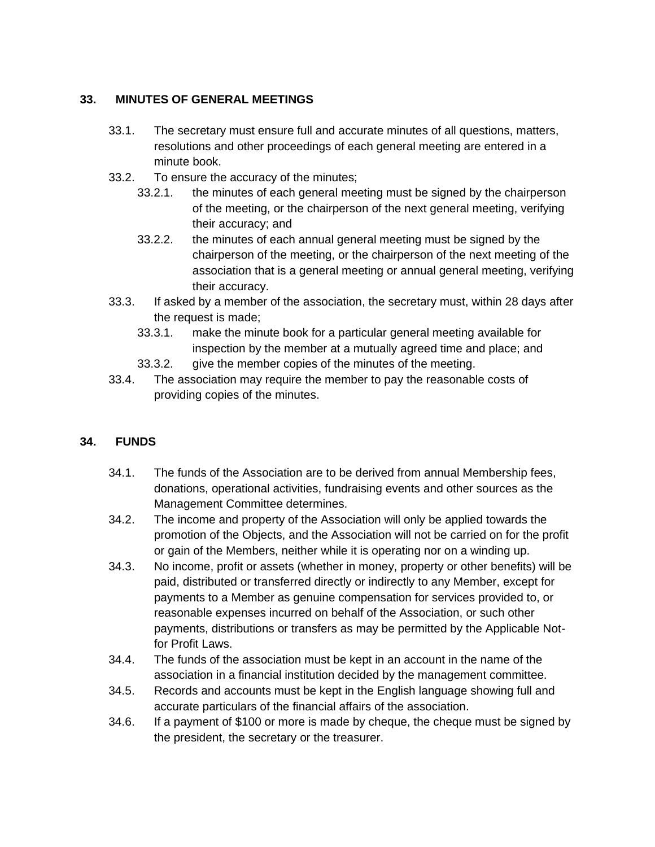## **33. MINUTES OF GENERAL MEETINGS**

- 33.1. The secretary must ensure full and accurate minutes of all questions, matters, resolutions and other proceedings of each general meeting are entered in a minute book.
- 33.2. To ensure the accuracy of the minutes;
	- 33.2.1. the minutes of each general meeting must be signed by the chairperson of the meeting, or the chairperson of the next general meeting, verifying their accuracy; and
	- 33.2.2. the minutes of each annual general meeting must be signed by the chairperson of the meeting, or the chairperson of the next meeting of the association that is a general meeting or annual general meeting, verifying their accuracy.
- 33.3. If asked by a member of the association, the secretary must, within 28 days after the request is made;
	- 33.3.1. make the minute book for a particular general meeting available for inspection by the member at a mutually agreed time and place; and
	- 33.3.2. give the member copies of the minutes of the meeting.
- 33.4. The association may require the member to pay the reasonable costs of providing copies of the minutes.

# **34. FUNDS**

- 34.1. The funds of the Association are to be derived from annual Membership fees, donations, operational activities, fundraising events and other sources as the Management Committee determines.
- 34.2. The income and property of the Association will only be applied towards the promotion of the Objects, and the Association will not be carried on for the profit or gain of the Members, neither while it is operating nor on a winding up.
- 34.3. No income, profit or assets (whether in money, property or other benefits) will be paid, distributed or transferred directly or indirectly to any Member, except for payments to a Member as genuine compensation for services provided to, or reasonable expenses incurred on behalf of the Association, or such other payments, distributions or transfers as may be permitted by the Applicable Notfor Profit Laws.
- 34.4. The funds of the association must be kept in an account in the name of the association in a financial institution decided by the management committee.
- 34.5. Records and accounts must be kept in the English language showing full and accurate particulars of the financial affairs of the association.
- 34.6. If a payment of \$100 or more is made by cheque, the cheque must be signed by the president, the secretary or the treasurer.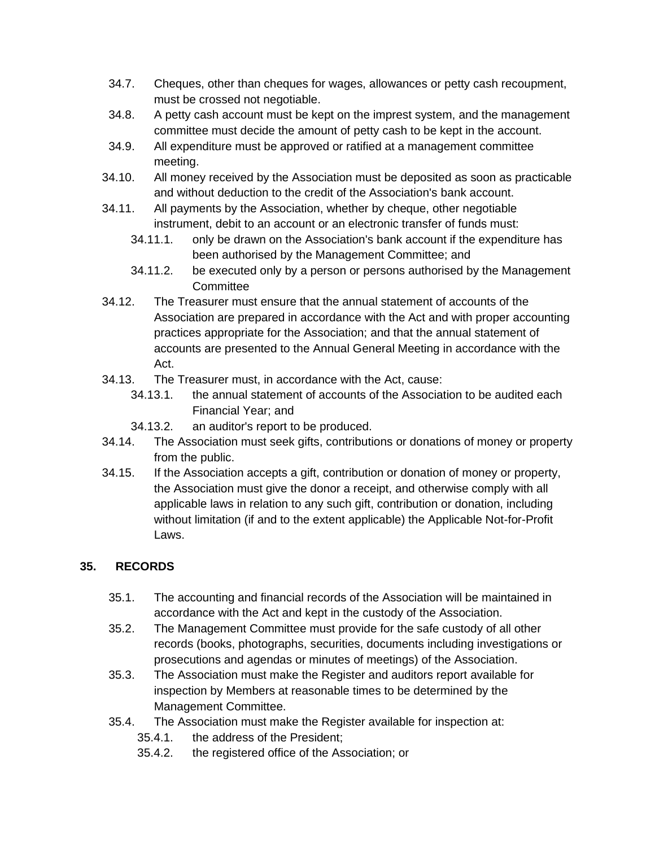- 34.7. Cheques, other than cheques for wages, allowances or petty cash recoupment, must be crossed not negotiable.
- 34.8. A petty cash account must be kept on the imprest system, and the management committee must decide the amount of petty cash to be kept in the account.
- 34.9. All expenditure must be approved or ratified at a management committee meeting.
- 34.10. All money received by the Association must be deposited as soon as practicable and without deduction to the credit of the Association's bank account.
- 34.11. All payments by the Association, whether by cheque, other negotiable instrument, debit to an account or an electronic transfer of funds must:
	- 34.11.1. only be drawn on the Association's bank account if the expenditure has been authorised by the Management Committee; and
	- 34.11.2. be executed only by a person or persons authorised by the Management **Committee**
- 34.12. The Treasurer must ensure that the annual statement of accounts of the Association are prepared in accordance with the Act and with proper accounting practices appropriate for the Association; and that the annual statement of accounts are presented to the Annual General Meeting in accordance with the Act.
- 34.13. The Treasurer must, in accordance with the Act, cause:
	- 34.13.1. the annual statement of accounts of the Association to be audited each Financial Year; and
	- 34.13.2. an auditor's report to be produced.
- 34.14. The Association must seek gifts, contributions or donations of money or property from the public.
- 34.15. If the Association accepts a gift, contribution or donation of money or property, the Association must give the donor a receipt, and otherwise comply with all applicable laws in relation to any such gift, contribution or donation, including without limitation (if and to the extent applicable) the Applicable Not-for-Profit Laws.

# **35. RECORDS**

- 35.1. The accounting and financial records of the Association will be maintained in accordance with the Act and kept in the custody of the Association.
- 35.2. The Management Committee must provide for the safe custody of all other records (books, photographs, securities, documents including investigations or prosecutions and agendas or minutes of meetings) of the Association.
- 35.3. The Association must make the Register and auditors report available for inspection by Members at reasonable times to be determined by the Management Committee.
- 35.4. The Association must make the Register available for inspection at:
	- 35.4.1. the address of the President;
	- 35.4.2. the registered office of the Association; or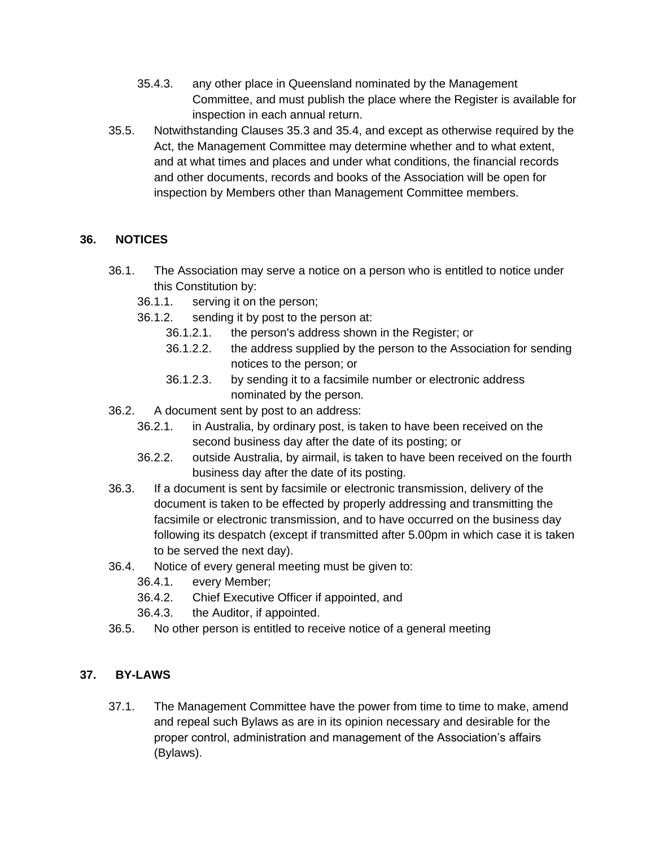- 35.4.3. any other place in Queensland nominated by the Management Committee, and must publish the place where the Register is available for inspection in each annual return.
- 35.5. Notwithstanding Clauses 35.3 and 35.4, and except as otherwise required by the Act, the Management Committee may determine whether and to what extent, and at what times and places and under what conditions, the financial records and other documents, records and books of the Association will be open for inspection by Members other than Management Committee members.

## **36. NOTICES**

- 36.1. The Association may serve a notice on a person who is entitled to notice under this Constitution by:
	- 36.1.1. serving it on the person;
	- 36.1.2. sending it by post to the person at:
		- 36.1.2.1. the person's address shown in the Register; or
		- 36.1.2.2. the address supplied by the person to the Association for sending notices to the person; or
		- 36.1.2.3. by sending it to a facsimile number or electronic address nominated by the person.
- 36.2. A document sent by post to an address:
	- 36.2.1. in Australia, by ordinary post, is taken to have been received on the second business day after the date of its posting; or
	- 36.2.2. outside Australia, by airmail, is taken to have been received on the fourth business day after the date of its posting.
- 36.3. If a document is sent by facsimile or electronic transmission, delivery of the document is taken to be effected by properly addressing and transmitting the facsimile or electronic transmission, and to have occurred on the business day following its despatch (except if transmitted after 5.00pm in which case it is taken to be served the next day).
- 36.4. Notice of every general meeting must be given to:
	- 36.4.1. every Member;
	- 36.4.2. Chief Executive Officer if appointed, and
	- 36.4.3. the Auditor, if appointed.
- 36.5. No other person is entitled to receive notice of a general meeting

# **37. BY-LAWS**

37.1. The Management Committee have the power from time to time to make, amend and repeal such Bylaws as are in its opinion necessary and desirable for the proper control, administration and management of the Association's affairs (Bylaws).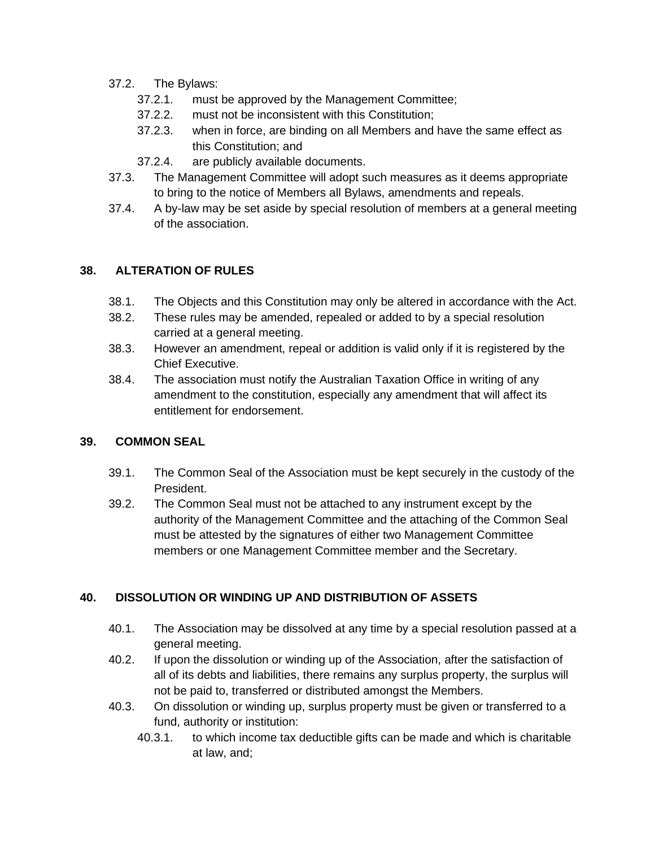- 37.2. The Bylaws:
	- 37.2.1. must be approved by the Management Committee;
	- 37.2.2. must not be inconsistent with this Constitution;
	- 37.2.3. when in force, are binding on all Members and have the same effect as this Constitution; and
	- 37.2.4. are publicly available documents.
- 37.3. The Management Committee will adopt such measures as it deems appropriate to bring to the notice of Members all Bylaws, amendments and repeals.
- 37.4. A by-law may be set aside by special resolution of members at a general meeting of the association.

#### **38. ALTERATION OF RULES**

- 38.1. The Objects and this Constitution may only be altered in accordance with the Act.
- 38.2. These rules may be amended, repealed or added to by a special resolution carried at a general meeting.
- 38.3. However an amendment, repeal or addition is valid only if it is registered by the Chief Executive.
- 38.4. The association must notify the Australian Taxation Office in writing of any amendment to the constitution, especially any amendment that will affect its entitlement for endorsement.

#### **39. COMMON SEAL**

- 39.1. The Common Seal of the Association must be kept securely in the custody of the President.
- 39.2. The Common Seal must not be attached to any instrument except by the authority of the Management Committee and the attaching of the Common Seal must be attested by the signatures of either two Management Committee members or one Management Committee member and the Secretary.

#### **40. DISSOLUTION OR WINDING UP AND DISTRIBUTION OF ASSETS**

- 40.1. The Association may be dissolved at any time by a special resolution passed at a general meeting.
- 40.2. If upon the dissolution or winding up of the Association, after the satisfaction of all of its debts and liabilities, there remains any surplus property, the surplus will not be paid to, transferred or distributed amongst the Members.
- 40.3. On dissolution or winding up, surplus property must be given or transferred to a fund, authority or institution:
	- 40.3.1. to which income tax deductible gifts can be made and which is charitable at law, and;